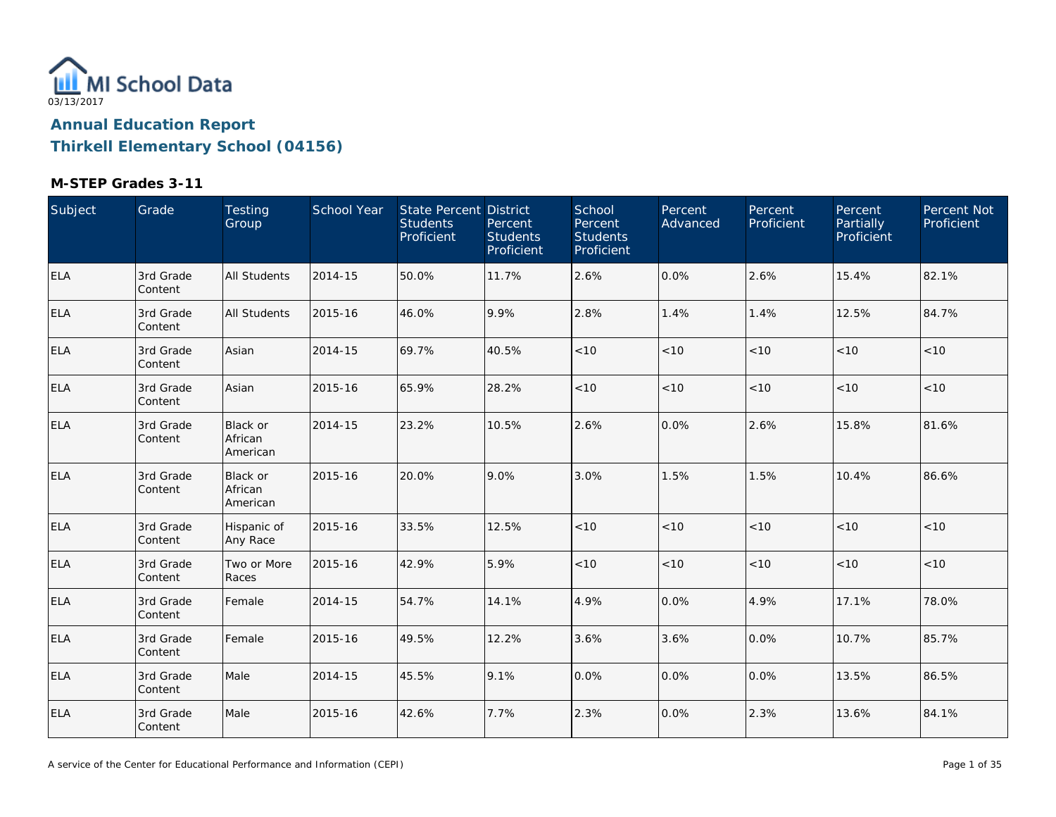

| Subject    | Grade                | Testing<br>Group                       | School Year | State Percent District<br><b>Students</b><br>Proficient | Percent<br><b>Students</b><br>Proficient | School<br>Percent<br><b>Students</b><br>Proficient | Percent<br>Advanced | Percent<br>Proficient | Percent<br>Partially<br>Proficient | Percent Not<br>Proficient |
|------------|----------------------|----------------------------------------|-------------|---------------------------------------------------------|------------------------------------------|----------------------------------------------------|---------------------|-----------------------|------------------------------------|---------------------------|
| <b>ELA</b> | 3rd Grade<br>Content | <b>All Students</b>                    | 2014-15     | 50.0%                                                   | 11.7%                                    | 2.6%                                               | 0.0%                | 2.6%                  | 15.4%                              | 82.1%                     |
| <b>ELA</b> | 3rd Grade<br>Content | <b>All Students</b>                    | 2015-16     | 46.0%                                                   | 9.9%                                     | 2.8%                                               | 1.4%                | 1.4%                  | 12.5%                              | 84.7%                     |
| <b>ELA</b> | 3rd Grade<br>Content | Asian                                  | 2014-15     | 69.7%                                                   | 40.5%                                    | < 10                                               | < 10                | < 10                  | < 10                               | $<10$                     |
| <b>ELA</b> | 3rd Grade<br>Content | Asian                                  | 2015-16     | 65.9%                                                   | 28.2%                                    | < 10                                               | < 10                | < 10                  | < 10                               | < 10                      |
| <b>ELA</b> | 3rd Grade<br>Content | Black or<br>African<br>American        | 2014-15     | 23.2%                                                   | 10.5%                                    | 2.6%                                               | 0.0%                | 2.6%                  | 15.8%                              | 81.6%                     |
| <b>ELA</b> | 3rd Grade<br>Content | <b>Black or</b><br>African<br>American | 2015-16     | 20.0%                                                   | 9.0%                                     | 3.0%                                               | 1.5%                | 1.5%                  | 10.4%                              | 86.6%                     |
| <b>ELA</b> | 3rd Grade<br>Content | Hispanic of<br>Any Race                | 2015-16     | 33.5%                                                   | 12.5%                                    | < 10                                               | < 10                | < 10                  | < 10                               | < 10                      |
| ELA        | 3rd Grade<br>Content | Two or More<br>Races                   | 2015-16     | 42.9%                                                   | 5.9%                                     | < 10                                               | < 10                | < 10                  | < 10                               | < 10                      |
| ELA        | 3rd Grade<br>Content | Female                                 | 2014-15     | 54.7%                                                   | 14.1%                                    | 4.9%                                               | 0.0%                | 4.9%                  | 17.1%                              | 78.0%                     |
| <b>ELA</b> | 3rd Grade<br>Content | Female                                 | 2015-16     | 49.5%                                                   | 12.2%                                    | 3.6%                                               | 3.6%                | 0.0%                  | 10.7%                              | 85.7%                     |
| <b>ELA</b> | 3rd Grade<br>Content | Male                                   | 2014-15     | 45.5%                                                   | 9.1%                                     | 0.0%                                               | 0.0%                | 0.0%                  | 13.5%                              | 86.5%                     |
| <b>ELA</b> | 3rd Grade<br>Content | Male                                   | 2015-16     | 42.6%                                                   | 7.7%                                     | 2.3%                                               | 0.0%                | 2.3%                  | 13.6%                              | 84.1%                     |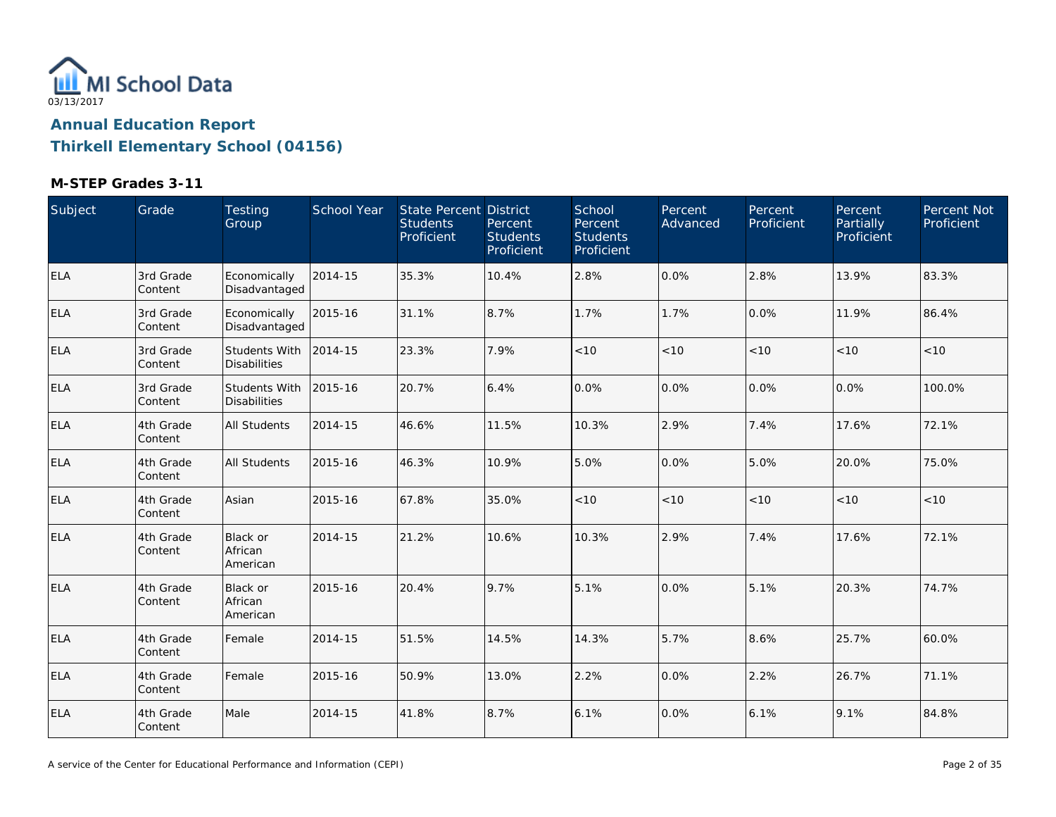

| Subject    | Grade                | Testing<br>Group                            | School Year | State Percent District<br><b>Students</b><br>Proficient | Percent<br><b>Students</b><br>Proficient | School<br>Percent<br><b>Students</b><br>Proficient | Percent<br>Advanced | Percent<br>Proficient | Percent,<br>Partially<br>Proficient | Percent Not<br>Proficient |
|------------|----------------------|---------------------------------------------|-------------|---------------------------------------------------------|------------------------------------------|----------------------------------------------------|---------------------|-----------------------|-------------------------------------|---------------------------|
| <b>ELA</b> | 3rd Grade<br>Content | Economically<br>Disadvantaged               | 2014-15     | 35.3%                                                   | 10.4%                                    | 2.8%                                               | 0.0%                | 2.8%                  | 13.9%                               | 83.3%                     |
| <b>ELA</b> | 3rd Grade<br>Content | Economically<br>Disadvantaged               | 2015-16     | 31.1%                                                   | 8.7%                                     | 1.7%                                               | 1.7%                | $0.0\%$               | 11.9%                               | 86.4%                     |
| <b>ELA</b> | 3rd Grade<br>Content | <b>Students With</b><br><b>Disabilities</b> | 2014-15     | 23.3%                                                   | 7.9%                                     | $<10$                                              | $<10$               | $<10$                 | < 10                                | < 10                      |
| <b>ELA</b> | 3rd Grade<br>Content | <b>Students With</b><br><b>Disabilities</b> | 2015-16     | 20.7%                                                   | 6.4%                                     | 0.0%                                               | 0.0%                | 0.0%                  | 0.0%                                | 100.0%                    |
| <b>ELA</b> | 4th Grade<br>Content | All Students                                | 2014-15     | 46.6%                                                   | 11.5%                                    | 10.3%                                              | 2.9%                | 7.4%                  | 17.6%                               | 72.1%                     |
| <b>ELA</b> | 4th Grade<br>Content | <b>All Students</b>                         | 2015-16     | 46.3%                                                   | 10.9%                                    | 5.0%                                               | 0.0%                | 5.0%                  | 20.0%                               | 75.0%                     |
| <b>ELA</b> | 4th Grade<br>Content | Asian                                       | 2015-16     | 67.8%                                                   | 35.0%                                    | $<10$                                              | $<10$               | < 10                  | < 10                                | $<10$                     |
| <b>ELA</b> | 4th Grade<br>Content | Black or<br>African<br>American             | 2014-15     | 21.2%                                                   | 10.6%                                    | 10.3%                                              | 2.9%                | 7.4%                  | 17.6%                               | 72.1%                     |
| <b>ELA</b> | 4th Grade<br>Content | Black or<br>African<br>American             | 2015-16     | 20.4%                                                   | 9.7%                                     | 5.1%                                               | 0.0%                | 5.1%                  | 20.3%                               | 74.7%                     |
| <b>ELA</b> | 4th Grade<br>Content | Female                                      | 2014-15     | 51.5%                                                   | 14.5%                                    | 14.3%                                              | 5.7%                | 8.6%                  | 25.7%                               | 60.0%                     |
| <b>ELA</b> | 4th Grade<br>Content | Female                                      | 2015-16     | 50.9%                                                   | 13.0%                                    | 2.2%                                               | 0.0%                | 2.2%                  | 26.7%                               | 71.1%                     |
| <b>ELA</b> | 4th Grade<br>Content | Male                                        | 2014-15     | 41.8%                                                   | 8.7%                                     | 6.1%                                               | 0.0%                | 6.1%                  | 9.1%                                | 84.8%                     |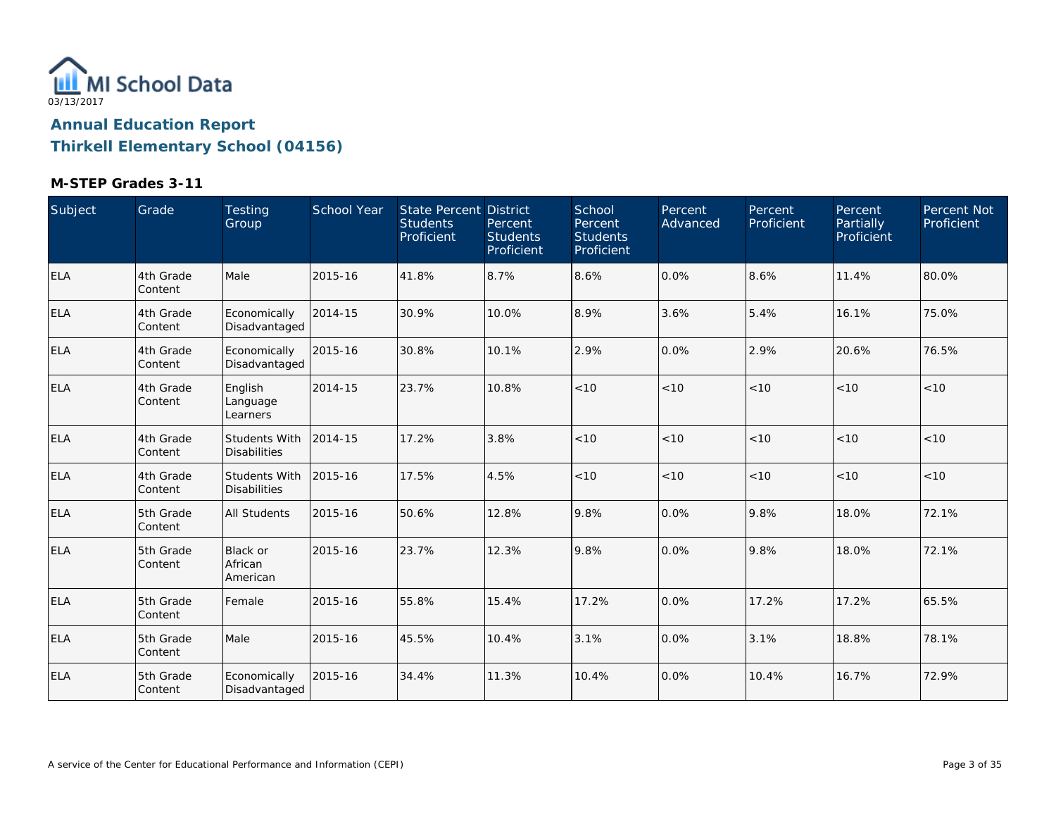

| Subject    | Grade                 | Testing<br>Group                     | School Year | State Percent District<br><b>Students</b><br>Proficient | Percent<br><b>Students</b><br>Proficient | School<br>Percent<br><b>Students</b><br>Proficient | Percent<br>Advanced | Percent<br>Proficient | Percent<br>Partially<br>Proficient | Percent Not<br>Proficient |
|------------|-----------------------|--------------------------------------|-------------|---------------------------------------------------------|------------------------------------------|----------------------------------------------------|---------------------|-----------------------|------------------------------------|---------------------------|
| <b>ELA</b> | 4th Grade<br>Content  | Male                                 | 2015-16     | 41.8%                                                   | 8.7%                                     | 8.6%                                               | 0.0%                | 8.6%                  | 11.4%                              | 80.0%                     |
| <b>ELA</b> | 4th Grade<br>Content  | Economically<br>Disadvantaged        | 2014-15     | 30.9%                                                   | 10.0%                                    | 8.9%                                               | 3.6%                | 5.4%                  | 16.1%                              | 75.0%                     |
| <b>ELA</b> | 4th Grade<br>Content  | Economically<br>Disadvantaged        | 2015-16     | 30.8%                                                   | 10.1%                                    | 2.9%                                               | 0.0%                | 2.9%                  | 20.6%                              | 76.5%                     |
| <b>ELA</b> | 4th Grade<br>Content  | English<br>Language<br>Learners      | 2014-15     | 23.7%                                                   | 10.8%                                    | < 10                                               | < 10                | < 10                  | < 10                               | < 10                      |
| <b>ELA</b> | 4th Grade<br>Content  | Students With<br><b>Disabilities</b> | 2014-15     | 17.2%                                                   | 3.8%                                     | < 10                                               | < 10                | < 10                  | < 10                               | < 10                      |
| ELA        | 4th Grade<br>Content  | Students With<br><b>Disabilities</b> | 2015-16     | 17.5%                                                   | 4.5%                                     | < 10                                               | < 10                | < 10                  | < 10                               | < 10                      |
| <b>ELA</b> | 5th Grade<br>Content  | All Students                         | 2015-16     | 50.6%                                                   | 12.8%                                    | 9.8%                                               | 0.0%                | 9.8%                  | 18.0%                              | 72.1%                     |
| <b>ELA</b> | 5th Grade<br> Content | Black or<br>African<br>American      | 2015-16     | 23.7%                                                   | 12.3%                                    | 9.8%                                               | 0.0%                | 9.8%                  | 18.0%                              | 72.1%                     |
| ELA        | 5th Grade<br>Content  | Female                               | 2015-16     | 55.8%                                                   | 15.4%                                    | 17.2%                                              | 0.0%                | 17.2%                 | 17.2%                              | 65.5%                     |
| <b>ELA</b> | 5th Grade<br>Content  | Male                                 | 2015-16     | 45.5%                                                   | 10.4%                                    | 3.1%                                               | 0.0%                | 3.1%                  | 18.8%                              | 78.1%                     |
| <b>ELA</b> | 5th Grade<br>Content  | Economically<br>Disadvantaged        | 2015-16     | 34.4%                                                   | 11.3%                                    | 10.4%                                              | 0.0%                | 10.4%                 | 16.7%                              | 72.9%                     |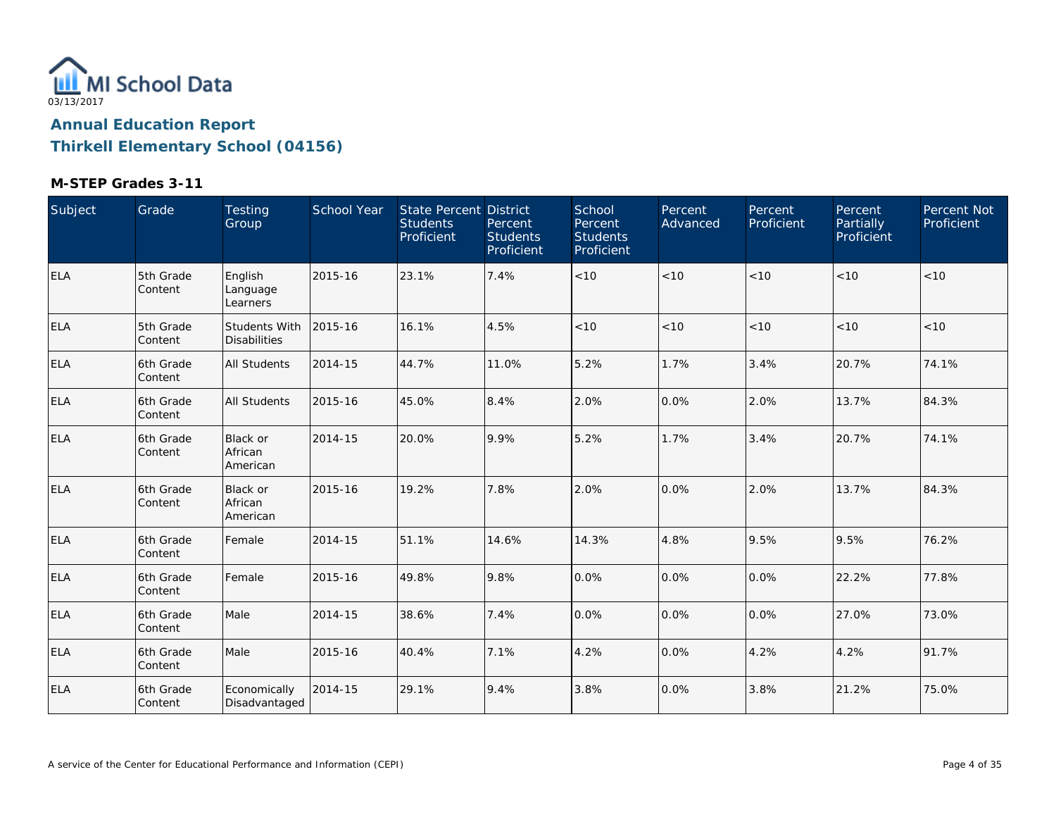

| Subject    | Grade                 | Testing<br>Group                            | School Year | <b>State Percent District</b><br><b>Students</b><br>Proficient | Percent<br><b>Students</b><br>Proficient | School<br>Percent<br><b>Students</b><br>Proficient | Percent<br>Advanced | Percent<br>Proficient | Percent<br>Partially<br>Proficient | Percent Not<br>Proficient |
|------------|-----------------------|---------------------------------------------|-------------|----------------------------------------------------------------|------------------------------------------|----------------------------------------------------|---------------------|-----------------------|------------------------------------|---------------------------|
| ELA        | 5th Grade<br>Content  | English<br>Language<br>Learners             | 2015-16     | 23.1%                                                          | 7.4%                                     | $<10$                                              | < 10                | < 10                  | < 10                               | < 10                      |
| <b>ELA</b> | 5th Grade<br> Content | <b>Students With</b><br><b>Disabilities</b> | 2015-16     | 16.1%                                                          | 4.5%                                     | $<10$                                              | $<10$               | $<10$                 | < 10                               | < 10                      |
| <b>ELA</b> | 6th Grade<br>Content  | <b>All Students</b>                         | 2014-15     | 44.7%                                                          | 11.0%                                    | 5.2%                                               | 1.7%                | 3.4%                  | 20.7%                              | 74.1%                     |
| ELA        | 6th Grade<br>Content  | <b>All Students</b>                         | 2015-16     | 45.0%                                                          | 8.4%                                     | 2.0%                                               | 0.0%                | 2.0%                  | 13.7%                              | 84.3%                     |
| ELA        | 6th Grade<br>Content  | <b>Black or</b><br>African<br>American      | 2014-15     | 20.0%                                                          | 9.9%                                     | 5.2%                                               | 1.7%                | 3.4%                  | 20.7%                              | 74.1%                     |
| ELA        | 6th Grade<br> Content | Black or<br>African<br>American             | 2015-16     | 19.2%                                                          | 7.8%                                     | 2.0%                                               | 0.0%                | 2.0%                  | 13.7%                              | 84.3%                     |
| <b>ELA</b> | 6th Grade<br>Content  | Female                                      | 2014-15     | 51.1%                                                          | 14.6%                                    | 14.3%                                              | 4.8%                | 9.5%                  | 9.5%                               | 76.2%                     |
| <b>ELA</b> | 6th Grade<br>Content  | Female                                      | 2015-16     | 49.8%                                                          | 9.8%                                     | 0.0%                                               | 0.0%                | 0.0%                  | 22.2%                              | 77.8%                     |
| <b>ELA</b> | 6th Grade<br>Content  | Male                                        | 2014-15     | 38.6%                                                          | 7.4%                                     | 0.0%                                               | 0.0%                | 0.0%                  | 27.0%                              | 73.0%                     |
| <b>ELA</b> | 6th Grade<br>Content  | Male                                        | 2015-16     | 40.4%                                                          | 7.1%                                     | 4.2%                                               | 0.0%                | 4.2%                  | 4.2%                               | 91.7%                     |
| <b>ELA</b> | 6th Grade<br>Content  | Economically<br>Disadvantaged               | 2014-15     | 29.1%                                                          | 9.4%                                     | 3.8%                                               | 0.0%                | 3.8%                  | 21.2%                              | 75.0%                     |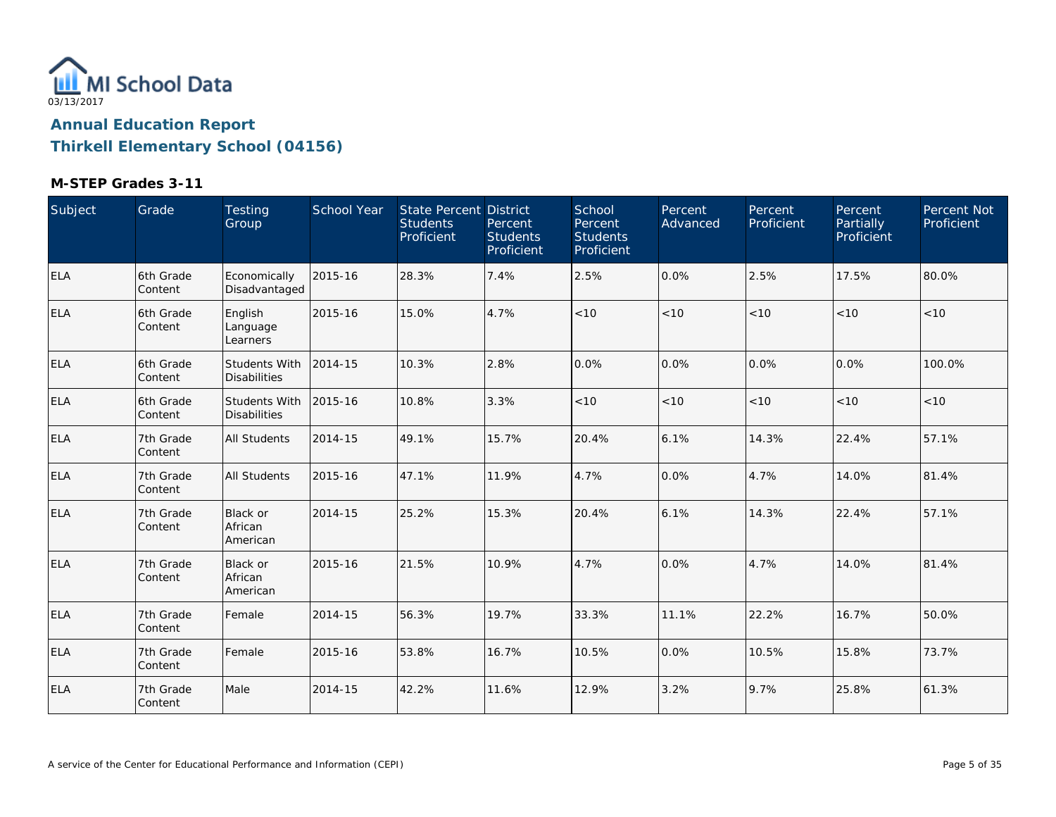

| Subject    | Grade                | Testing<br>Group                       | School Year | State Percent District<br><b>Students</b><br>Proficient | Percent<br><b>Students</b><br>Proficient | School<br>Percent<br><b>Students</b><br>Proficient | <b>Percent</b><br>Advanced | Percent<br>Proficient | Percent<br>Partially<br>Proficient | Percent Not<br>Proficient |
|------------|----------------------|----------------------------------------|-------------|---------------------------------------------------------|------------------------------------------|----------------------------------------------------|----------------------------|-----------------------|------------------------------------|---------------------------|
| ELA        | 6th Grade<br>Content | Economically<br>Disadvantaged          | 2015-16     | 28.3%                                                   | 7.4%                                     | 2.5%                                               | 0.0%                       | 2.5%                  | 17.5%                              | 80.0%                     |
| <b>ELA</b> | 6th Grade<br>Content | English<br>Language<br>Learners        | 2015-16     | 15.0%                                                   | 4.7%                                     | < 10                                               | < 10                       | < 10                  | < 10                               | < 10                      |
| ELA        | 6th Grade<br>Content | Students With<br><b>Disabilities</b>   | 2014-15     | 10.3%                                                   | 2.8%                                     | 0.0%                                               | 0.0%                       | 0.0%                  | 0.0%                               | 100.0%                    |
| ELA        | 6th Grade<br>Content | Students With<br><b>Disabilities</b>   | 2015-16     | 10.8%                                                   | 3.3%                                     | $<10$                                              | < 10                       | < 10                  | < 10                               | $<10$                     |
| <b>ELA</b> | 7th Grade<br>Content | All Students                           | 2014-15     | 49.1%                                                   | 15.7%                                    | 20.4%                                              | 6.1%                       | 14.3%                 | 22.4%                              | 57.1%                     |
| ELA        | 7th Grade<br>Content | <b>All Students</b>                    | 2015-16     | 47.1%                                                   | 11.9%                                    | 4.7%                                               | 0.0%                       | 4.7%                  | 14.0%                              | 81.4%                     |
| <b>ELA</b> | 7th Grade<br>Content | <b>Black or</b><br>African<br>American | 2014-15     | 25.2%                                                   | 15.3%                                    | 20.4%                                              | 6.1%                       | 14.3%                 | 22.4%                              | 57.1%                     |
| <b>ELA</b> | 7th Grade<br>Content | Black or<br>African<br>American        | 2015-16     | 21.5%                                                   | 10.9%                                    | 4.7%                                               | 0.0%                       | 4.7%                  | 14.0%                              | 81.4%                     |
| <b>ELA</b> | 7th Grade<br>Content | Female                                 | 2014-15     | 56.3%                                                   | 19.7%                                    | 33.3%                                              | 11.1%                      | 22.2%                 | 16.7%                              | 50.0%                     |
| <b>ELA</b> | 7th Grade<br>Content | Female                                 | 2015-16     | 53.8%                                                   | 16.7%                                    | 10.5%                                              | 0.0%                       | 10.5%                 | 15.8%                              | 73.7%                     |
| <b>ELA</b> | 7th Grade<br>Content | Male                                   | 2014-15     | 42.2%                                                   | 11.6%                                    | 12.9%                                              | 3.2%                       | 9.7%                  | 25.8%                              | 61.3%                     |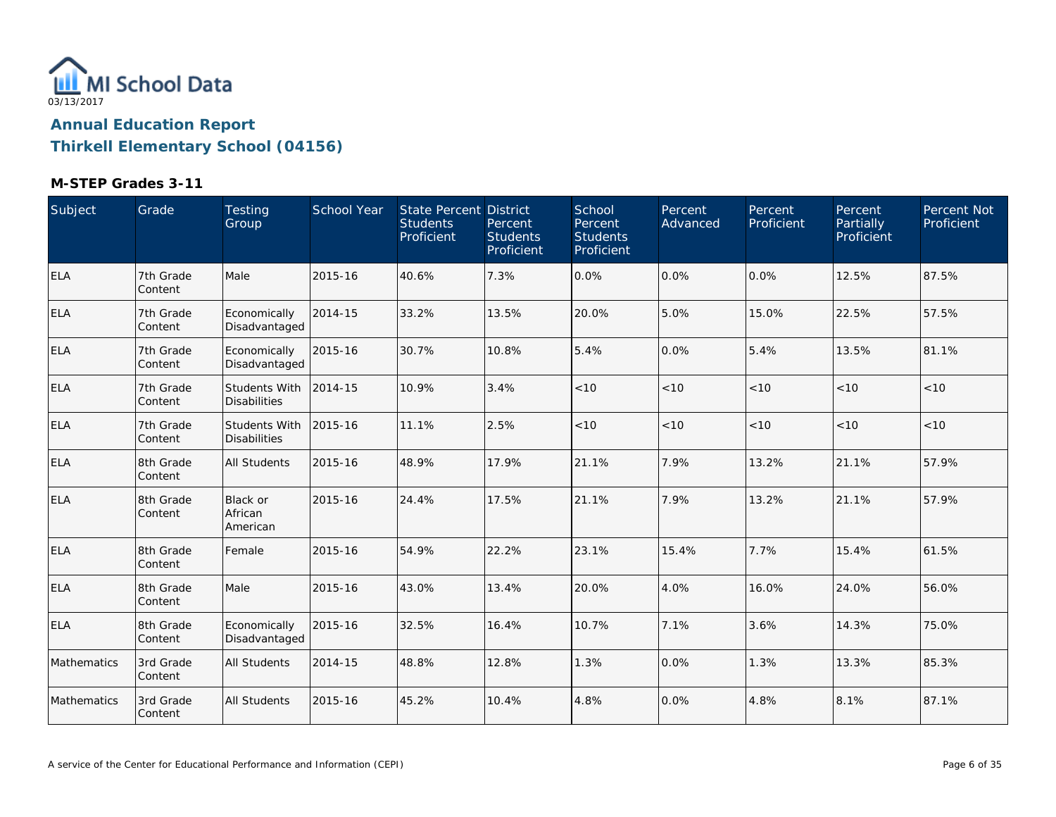

| Subject     | Grade                | Testing<br>Group                     | School Year | <b>State Percent District</b><br><b>Students</b><br>Proficient | Percent<br><b>Students</b><br>Proficient | School<br>Percent<br><b>Students</b><br>Proficient | Percent<br>Advanced | Percent<br>Proficient | Percent<br>Partially<br>Proficient | Percent Not<br>Proficient |
|-------------|----------------------|--------------------------------------|-------------|----------------------------------------------------------------|------------------------------------------|----------------------------------------------------|---------------------|-----------------------|------------------------------------|---------------------------|
| <b>ELA</b>  | 7th Grade<br>Content | Male                                 | 2015-16     | 40.6%                                                          | 7.3%                                     | 0.0%                                               | 0.0%                | 0.0%                  | 12.5%                              | 87.5%                     |
| ELA         | 7th Grade<br>Content | Economically<br>Disadvantaged        | 2014-15     | 33.2%                                                          | 13.5%                                    | 20.0%                                              | 5.0%                | 15.0%                 | 22.5%                              | 57.5%                     |
| <b>ELA</b>  | 7th Grade<br>Content | Economically<br>Disadvantaged        | 2015-16     | 30.7%                                                          | 10.8%                                    | 5.4%                                               | 0.0%                | 5.4%                  | 13.5%                              | 81.1%                     |
| ELA         | 7th Grade<br>Content | Students With<br><b>Disabilities</b> | 2014-15     | 10.9%                                                          | 3.4%                                     | $<10$                                              | $<10$               | < 10                  | < 10                               | < 10                      |
| ELA         | 7th Grade<br>Content | Students With<br><b>Disabilities</b> | 2015-16     | 11.1%                                                          | 2.5%                                     | $<10$                                              | < 10                | < 10                  | < 10                               | <10                       |
| <b>ELA</b>  | 8th Grade<br>Content | <b>All Students</b>                  | 2015-16     | 48.9%                                                          | 17.9%                                    | 21.1%                                              | 7.9%                | 13.2%                 | 21.1%                              | 57.9%                     |
| <b>ELA</b>  | 8th Grade<br>Content | Black or<br>African<br>American      | 2015-16     | 24.4%                                                          | 17.5%                                    | 21.1%                                              | 7.9%                | 13.2%                 | 21.1%                              | 57.9%                     |
| <b>ELA</b>  | 8th Grade<br>Content | Female                               | 2015-16     | 54.9%                                                          | 22.2%                                    | 23.1%                                              | 15.4%               | 7.7%                  | 15.4%                              | 61.5%                     |
| <b>ELA</b>  | 8th Grade<br>Content | Male                                 | 2015-16     | 43.0%                                                          | 13.4%                                    | 20.0%                                              | 4.0%                | 16.0%                 | 24.0%                              | 56.0%                     |
| <b>ELA</b>  | 8th Grade<br>Content | Economically<br>Disadvantaged        | 2015-16     | 32.5%                                                          | 16.4%                                    | 10.7%                                              | 7.1%                | 3.6%                  | 14.3%                              | 75.0%                     |
| Mathematics | 3rd Grade<br>Content | <b>All Students</b>                  | 2014-15     | 48.8%                                                          | 12.8%                                    | 1.3%                                               | 0.0%                | 1.3%                  | 13.3%                              | 85.3%                     |
| Mathematics | 3rd Grade<br>Content | All Students                         | 2015-16     | 45.2%                                                          | 10.4%                                    | 4.8%                                               | 0.0%                | 4.8%                  | 8.1%                               | 87.1%                     |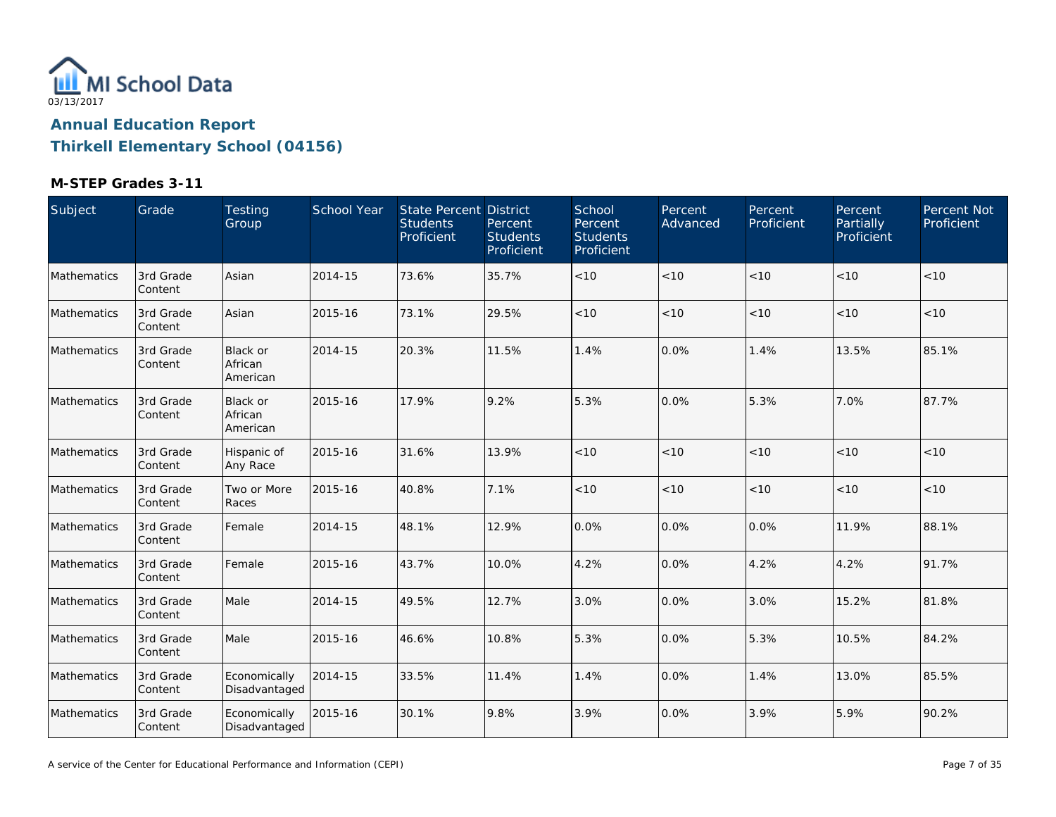

| Subject     | Grade                | Testing<br>Group                       | School Year | <b>State Percent District</b><br><b>Students</b><br>Proficient | Percent<br><b>Students</b><br>Proficient | School<br>Percent<br><b>Students</b><br>Proficient | Percent<br>Advanced | Percent<br>Proficient | Percent<br>Partially<br>Proficient | Percent Not<br>Proficient |
|-------------|----------------------|----------------------------------------|-------------|----------------------------------------------------------------|------------------------------------------|----------------------------------------------------|---------------------|-----------------------|------------------------------------|---------------------------|
| Mathematics | 3rd Grade<br>Content | Asian                                  | 2014-15     | 73.6%                                                          | 35.7%                                    | $<10$                                              | < 10                | < 10                  | < 10                               | < 10                      |
| Mathematics | 3rd Grade<br>Content | Asian                                  | 2015-16     | 73.1%                                                          | 29.5%                                    | $<10$                                              | < 10                | $<10$                 | < 10                               | < 10                      |
| Mathematics | 3rd Grade<br>Content | <b>Black or</b><br>African<br>American | 2014-15     | 20.3%                                                          | 11.5%                                    | 1.4%                                               | 0.0%                | 1.4%                  | 13.5%                              | 85.1%                     |
| Mathematics | 3rd Grade<br>Content | Black or<br>African<br>American        | 2015-16     | 17.9%                                                          | 9.2%                                     | 5.3%                                               | 0.0%                | 5.3%                  | 7.0%                               | 87.7%                     |
| Mathematics | 3rd Grade<br>Content | Hispanic of<br>Any Race                | 2015-16     | 31.6%                                                          | 13.9%                                    | < 10                                               | < 10                | < 10                  | < 10                               | < 10                      |
| Mathematics | 3rd Grade<br>Content | Two or More<br>Races                   | 2015-16     | 40.8%                                                          | 7.1%                                     | < 10                                               | < 10                | < 10                  | < 10                               | < 10                      |
| Mathematics | 3rd Grade<br>Content | Female                                 | 2014-15     | 48.1%                                                          | 12.9%                                    | 0.0%                                               | 0.0%                | 0.0%                  | 11.9%                              | 88.1%                     |
| Mathematics | 3rd Grade<br>Content | Female                                 | 2015-16     | 43.7%                                                          | 10.0%                                    | 4.2%                                               | 0.0%                | 4.2%                  | 4.2%                               | 91.7%                     |
| Mathematics | 3rd Grade<br>Content | Male                                   | 2014-15     | 49.5%                                                          | 12.7%                                    | 3.0%                                               | 0.0%                | 3.0%                  | 15.2%                              | 81.8%                     |
| Mathematics | 3rd Grade<br>Content | Male                                   | 2015-16     | 46.6%                                                          | 10.8%                                    | 5.3%                                               | 0.0%                | 5.3%                  | 10.5%                              | 84.2%                     |
| Mathematics | 3rd Grade<br>Content | Economically<br>Disadvantaged          | 2014-15     | 33.5%                                                          | 11.4%                                    | 1.4%                                               | 0.0%                | 1.4%                  | 13.0%                              | 85.5%                     |
| Mathematics | 3rd Grade<br>Content | Economically<br>Disadvantaged          | 2015-16     | 30.1%                                                          | 9.8%                                     | 3.9%                                               | 0.0%                | 3.9%                  | 5.9%                               | 90.2%                     |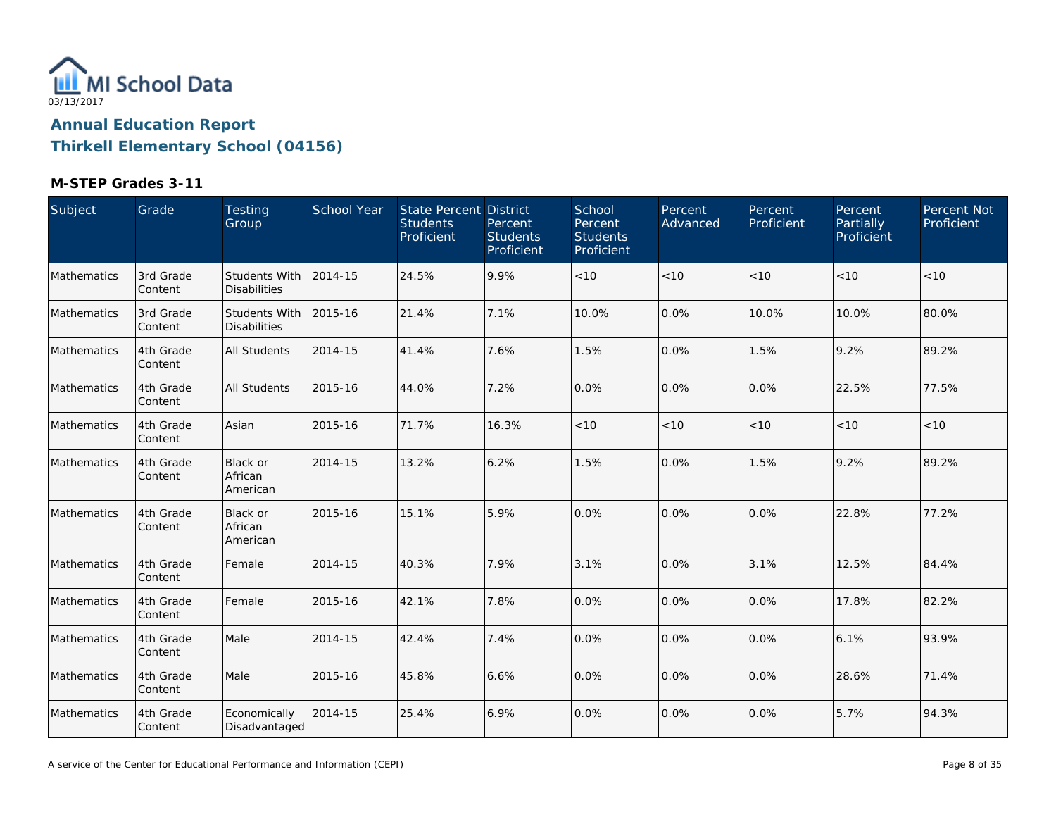

| Subject     | Grade                | Testing<br>Group                            | School Year | State Percent District<br><b>Students</b><br>Proficient | Percent<br><b>Students</b><br>Proficient | School<br>Percent<br><b>Students</b><br>Proficient | Percent<br>Advanced | Percent<br>Proficient | Percent<br>Partially<br>Proficient | Percent Not<br>Proficient |
|-------------|----------------------|---------------------------------------------|-------------|---------------------------------------------------------|------------------------------------------|----------------------------------------------------|---------------------|-----------------------|------------------------------------|---------------------------|
| Mathematics | 3rd Grade<br>Content | <b>Students With</b><br><b>Disabilities</b> | 2014-15     | 24.5%                                                   | 9.9%                                     | < 10                                               | < 10                | < 10                  | < 10                               | < 10                      |
| Mathematics | 3rd Grade<br>Content | Students With<br><b>Disabilities</b>        | 2015-16     | 21.4%                                                   | 7.1%                                     | 10.0%                                              | 0.0%                | 10.0%                 | 10.0%                              | 80.0%                     |
| Mathematics | 4th Grade<br>Content | All Students                                | 2014-15     | 41.4%                                                   | 7.6%                                     | 1.5%                                               | 0.0%                | 1.5%                  | 9.2%                               | 89.2%                     |
| Mathematics | 4th Grade<br>Content | <b>All Students</b>                         | 2015-16     | 44.0%                                                   | 7.2%                                     | 0.0%                                               | 0.0%                | 0.0%                  | 22.5%                              | 77.5%                     |
| Mathematics | 4th Grade<br>Content | Asian                                       | 2015-16     | 71.7%                                                   | 16.3%                                    | $<10$                                              | $<10$               | < 10                  | < 10                               | < 10                      |
| Mathematics | 4th Grade<br>Content | Black or<br>African<br>American             | 2014-15     | 13.2%                                                   | 6.2%                                     | 1.5%                                               | 0.0%                | 1.5%                  | 9.2%                               | 89.2%                     |
| Mathematics | 4th Grade<br>Content | Black or<br>African<br>American             | 2015-16     | 15.1%                                                   | 5.9%                                     | 0.0%                                               | 0.0%                | 0.0%                  | 22.8%                              | 77.2%                     |
| Mathematics | 4th Grade<br>Content | Female                                      | 2014-15     | 40.3%                                                   | 7.9%                                     | 3.1%                                               | 0.0%                | 3.1%                  | 12.5%                              | 84.4%                     |
| Mathematics | 4th Grade<br>Content | Female                                      | 2015-16     | 42.1%                                                   | 7.8%                                     | 0.0%                                               | 0.0%                | 0.0%                  | 17.8%                              | 82.2%                     |
| Mathematics | 4th Grade<br>Content | Male                                        | 2014-15     | 42.4%                                                   | 7.4%                                     | 0.0%                                               | 0.0%                | 0.0%                  | 6.1%                               | 93.9%                     |
| Mathematics | 4th Grade<br>Content | Male                                        | 2015-16     | 45.8%                                                   | 6.6%                                     | 0.0%                                               | 0.0%                | 0.0%                  | 28.6%                              | 71.4%                     |
| Mathematics | 4th Grade<br>Content | Economically<br>Disadvantaged               | 2014-15     | 25.4%                                                   | 6.9%                                     | 0.0%                                               | 0.0%                | 0.0%                  | 5.7%                               | 94.3%                     |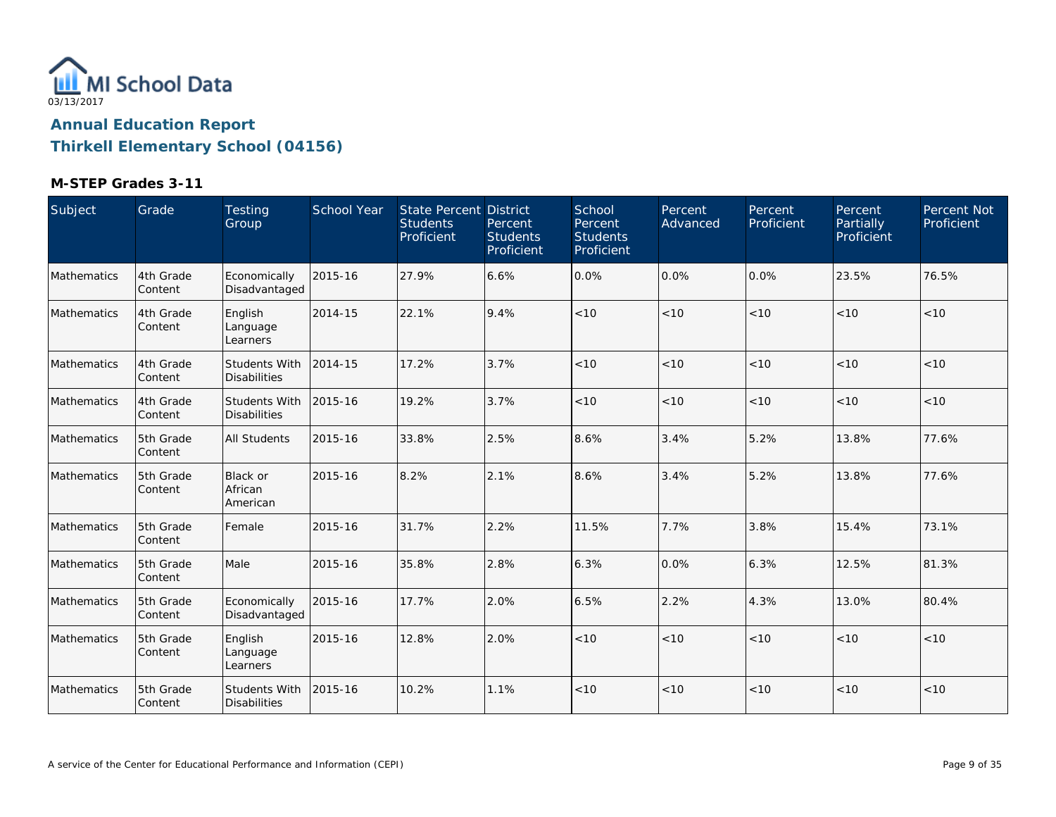

| Subject     | Grade                | Testing<br>Group                            | School Year | <b>State Percent District</b><br><b>Students</b><br>Proficient | Percent<br><b>Students</b><br>Proficient | School<br>Percent<br><b>Students</b><br>Proficient | Percent<br>Advanced | Percent<br>Proficient | Percent<br>Partially<br>Proficient | Percent Not<br>Proficient |
|-------------|----------------------|---------------------------------------------|-------------|----------------------------------------------------------------|------------------------------------------|----------------------------------------------------|---------------------|-----------------------|------------------------------------|---------------------------|
| Mathematics | 4th Grade<br>Content | Economically<br>Disadvantaged               | 2015-16     | 27.9%                                                          | 6.6%                                     | 0.0%                                               | 0.0%                | $0.0\%$               | 23.5%                              | 76.5%                     |
| Mathematics | 4th Grade<br>Content | English<br>Language<br>Learners             | 2014-15     | 22.1%                                                          | 9.4%                                     | < 10                                               | < 10                | < 10                  | < 10                               | < 10                      |
| Mathematics | 4th Grade<br>Content | Students With<br><b>Disabilities</b>        | 2014-15     | 17.2%                                                          | 3.7%                                     | < 10                                               | < 10                | < 10                  | < 10                               | < 10                      |
| Mathematics | 4th Grade<br>Content | <b>Students With</b><br><b>Disabilities</b> | 2015-16     | 19.2%                                                          | 3.7%                                     | $<10$                                              | < 10                | < 10                  | < 10                               | < 10                      |
| Mathematics | 5th Grade<br>Content | All Students                                | 2015-16     | 33.8%                                                          | 2.5%                                     | 8.6%                                               | 3.4%                | 5.2%                  | 13.8%                              | 77.6%                     |
| Mathematics | 5th Grade<br>Content | Black or<br>African<br>American             | 2015-16     | 8.2%                                                           | 2.1%                                     | 8.6%                                               | 3.4%                | 5.2%                  | 13.8%                              | 77.6%                     |
| Mathematics | 5th Grade<br>Content | Female                                      | 2015-16     | 31.7%                                                          | 2.2%                                     | 11.5%                                              | 7.7%                | 3.8%                  | 15.4%                              | 73.1%                     |
| Mathematics | 5th Grade<br>Content | Male                                        | 2015-16     | 35.8%                                                          | 2.8%                                     | 6.3%                                               | 0.0%                | 6.3%                  | 12.5%                              | 81.3%                     |
| Mathematics | 5th Grade<br>Content | Economically<br>Disadvantaged               | 2015-16     | 17.7%                                                          | 2.0%                                     | 6.5%                                               | 2.2%                | 4.3%                  | 13.0%                              | 80.4%                     |
| Mathematics | 5th Grade<br>Content | English<br>Language<br>Learners             | 2015-16     | 12.8%                                                          | 2.0%                                     | $<10$                                              | < 10                | < 10                  | < 10                               | < 10                      |
| Mathematics | 5th Grade<br>Content | <b>Students With</b><br><b>Disabilities</b> | 2015-16     | 10.2%                                                          | 1.1%                                     | < 10                                               | < 10                | < 10                  | < 10                               | < 10                      |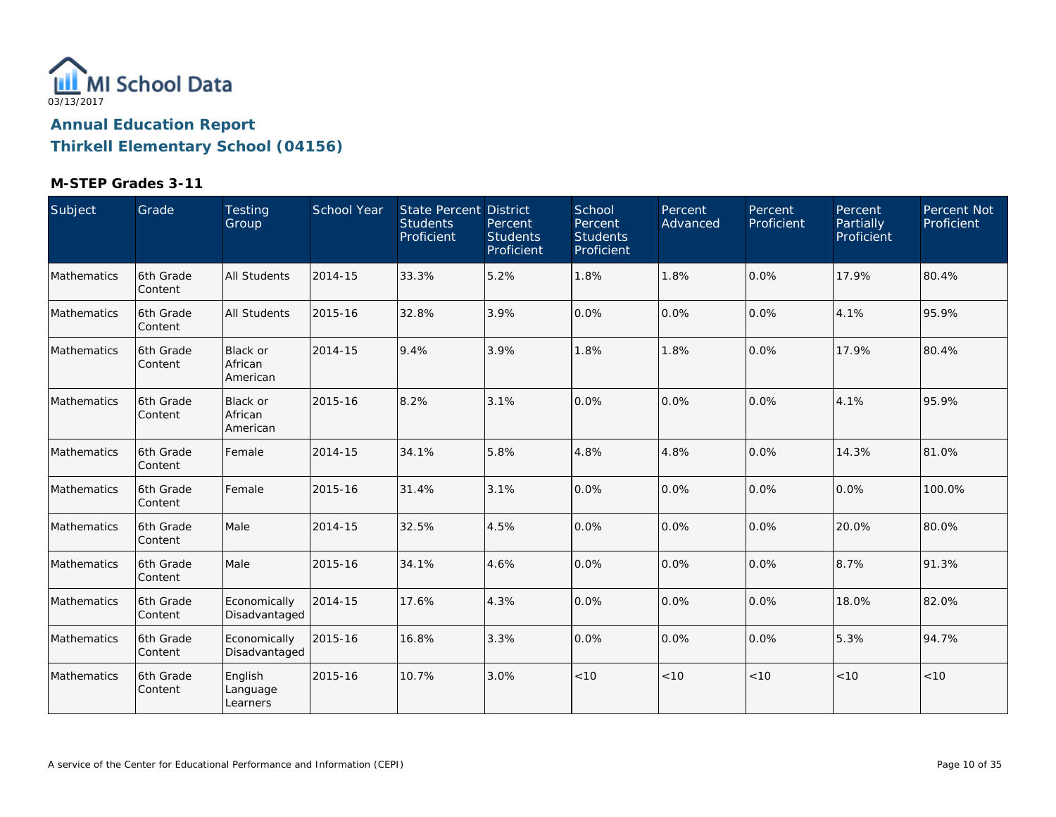

| Subject     | Grade                  | Testing<br>Group                       | School Year | <b>State Percent District</b><br><b>Students</b><br>Proficient | Percent<br><b>Students</b><br>Proficient | School<br>Percent<br><b>Students</b><br>Proficient | Percent<br>Advanced | Percent<br>Proficient | Percent<br>Partially<br>Proficient | Percent Not<br>Proficient |
|-------------|------------------------|----------------------------------------|-------------|----------------------------------------------------------------|------------------------------------------|----------------------------------------------------|---------------------|-----------------------|------------------------------------|---------------------------|
| Mathematics | 6th Grade<br>Content   | <b>All Students</b>                    | 2014-15     | 33.3%                                                          | 5.2%                                     | 1.8%                                               | 1.8%                | 0.0%                  | 17.9%                              | 80.4%                     |
| Mathematics | 6th Grade<br>Content   | <b>All Students</b>                    | 2015-16     | 32.8%                                                          | 3.9%                                     | 0.0%                                               | 0.0%                | 0.0%                  | 4.1%                               | 95.9%                     |
| Mathematics | l6th Grade<br>Content  | <b>Black or</b><br>African<br>American | 2014-15     | 9.4%                                                           | 3.9%                                     | 1.8%                                               | 1.8%                | 0.0%                  | 17.9%                              | 80.4%                     |
| Mathematics | 6th Grade<br>Content   | <b>Black or</b><br>African<br>American | 2015-16     | 8.2%                                                           | 3.1%                                     | 0.0%                                               | 0.0%                | 0.0%                  | 4.1%                               | 95.9%                     |
| Mathematics | l6th Grade<br>Content  | Female                                 | 2014-15     | 34.1%                                                          | 5.8%                                     | 4.8%                                               | 4.8%                | 0.0%                  | 14.3%                              | 81.0%                     |
| Mathematics | 6th Grade<br>Content   | Female                                 | 2015-16     | 31.4%                                                          | 3.1%                                     | 0.0%                                               | 0.0%                | 0.0%                  | 0.0%                               | 100.0%                    |
| Mathematics | 6th Grade<br>Content   | Male                                   | 2014-15     | 32.5%                                                          | 4.5%                                     | 0.0%                                               | 0.0%                | 0.0%                  | 20.0%                              | 80.0%                     |
| Mathematics | 6th Grade<br>Content   | Male                                   | 2015-16     | 34.1%                                                          | 4.6%                                     | 0.0%                                               | 0.0%                | 0.0%                  | 8.7%                               | 91.3%                     |
| Mathematics | l6th Grade<br> Content | Economically<br>Disadvantaged          | 2014-15     | 17.6%                                                          | 4.3%                                     | 0.0%                                               | 0.0%                | 0.0%                  | 18.0%                              | 82.0%                     |
| Mathematics | 6th Grade<br>Content   | Economically<br>Disadvantaged          | 2015-16     | 16.8%                                                          | 3.3%                                     | 0.0%                                               | 0.0%                | 0.0%                  | 5.3%                               | 94.7%                     |
| Mathematics | 6th Grade<br>Content   | English<br>Language<br>Learners        | 2015-16     | 10.7%                                                          | 3.0%                                     | < 10                                               | < 10                | < 10                  | < 10                               | < 10                      |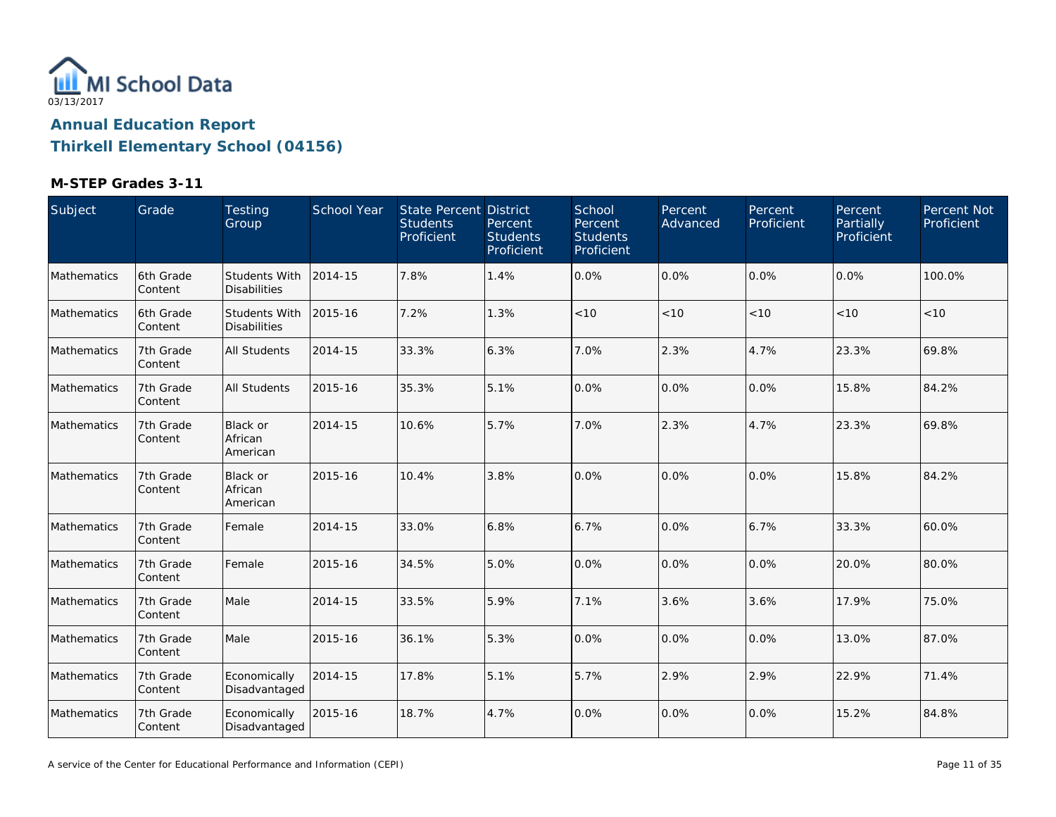

| Subject     | Grade                | Testing<br>Group                     | <b>School Year</b> | <b>State Percent District</b><br><b>Students</b><br>Proficient | Percent<br><b>Students</b><br>Proficient | School<br>Percent<br><b>Students</b><br>Proficient | Percent<br>Advanced | Percent<br>Proficient | Percent<br>Partially<br>Proficient | Percent Not<br>Proficient |
|-------------|----------------------|--------------------------------------|--------------------|----------------------------------------------------------------|------------------------------------------|----------------------------------------------------|---------------------|-----------------------|------------------------------------|---------------------------|
| Mathematics | 6th Grade<br>Content | Students With<br><b>Disabilities</b> | 2014-15            | 7.8%                                                           | 1.4%                                     | 0.0%                                               | 0.0%                | 0.0%                  | 0.0%                               | 100.0%                    |
| Mathematics | 6th Grade<br>Content | Students With<br><b>Disabilities</b> | 2015-16            | 7.2%                                                           | 1.3%                                     | < 10                                               | $<10$               | < 10                  | < 10                               | < 10                      |
| Mathematics | 7th Grade<br>Content | All Students                         | 2014-15            | 33.3%                                                          | 6.3%                                     | 7.0%                                               | 2.3%                | 4.7%                  | 23.3%                              | 69.8%                     |
| Mathematics | 7th Grade<br>Content | <b>All Students</b>                  | 2015-16            | 35.3%                                                          | 5.1%                                     | 0.0%                                               | 0.0%                | $0.0\%$               | 15.8%                              | 84.2%                     |
| Mathematics | 7th Grade<br>Content | Black or<br>African<br>American      | 2014-15            | 10.6%                                                          | 5.7%                                     | 7.0%                                               | 2.3%                | 4.7%                  | 23.3%                              | 69.8%                     |
| Mathematics | 7th Grade<br>Content | Black or<br>African<br>American      | 2015-16            | 10.4%                                                          | 3.8%                                     | 0.0%                                               | 0.0%                | 0.0%                  | 15.8%                              | 84.2%                     |
| Mathematics | 7th Grade<br>Content | Female                               | 2014-15            | 33.0%                                                          | 6.8%                                     | 6.7%                                               | 0.0%                | 6.7%                  | 33.3%                              | 60.0%                     |
| Mathematics | 7th Grade<br>Content | Female                               | 2015-16            | 34.5%                                                          | 5.0%                                     | 0.0%                                               | 0.0%                | 0.0%                  | 20.0%                              | 80.0%                     |
| Mathematics | 7th Grade<br>Content | Male                                 | 2014-15            | 33.5%                                                          | 5.9%                                     | 7.1%                                               | 3.6%                | 3.6%                  | 17.9%                              | 75.0%                     |
| Mathematics | 7th Grade<br>Content | Male                                 | 2015-16            | 36.1%                                                          | 5.3%                                     | 0.0%                                               | 0.0%                | 0.0%                  | 13.0%                              | 87.0%                     |
| Mathematics | 7th Grade<br>Content | Economically<br>Disadvantaged        | 2014-15            | 17.8%                                                          | 5.1%                                     | 5.7%                                               | 2.9%                | 2.9%                  | 22.9%                              | 71.4%                     |
| Mathematics | 7th Grade<br>Content | Economically<br>Disadvantaged        | 2015-16            | 18.7%                                                          | 4.7%                                     | 0.0%                                               | 0.0%                | 0.0%                  | 15.2%                              | 84.8%                     |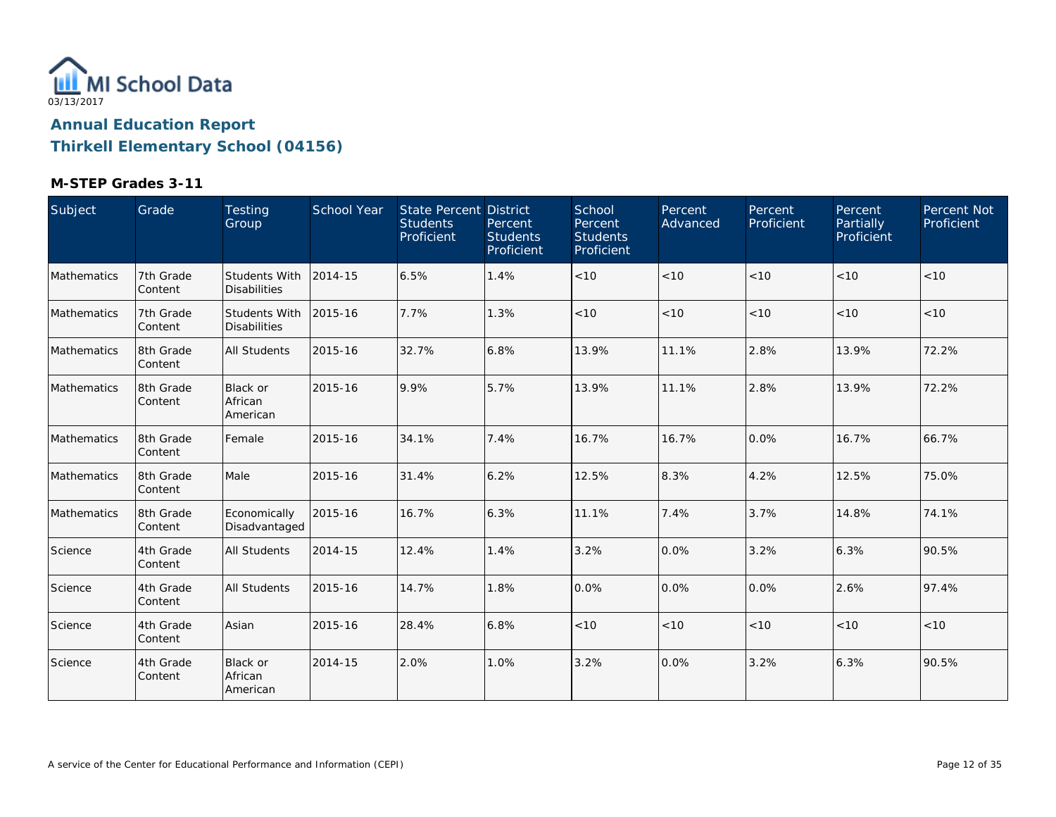

| Subject            | Grade                 | Testing<br>Group                     | <b>School Year</b> | State Percent District<br><b>Students</b><br>Proficient | Percent<br><b>Students</b><br>Proficient | School<br>Percent<br><b>Students</b><br>Proficient | Percent<br>Advanced | Percent<br>Proficient | Percent<br>Partially<br>Proficient | Percent Not<br>Proficient |
|--------------------|-----------------------|--------------------------------------|--------------------|---------------------------------------------------------|------------------------------------------|----------------------------------------------------|---------------------|-----------------------|------------------------------------|---------------------------|
| Mathematics        | 7th Grade<br>Content  | Students With<br><b>Disabilities</b> | 2014-15            | 6.5%                                                    | 1.4%                                     | < 10                                               | < 10                | < 10                  | < 10                               | < 10                      |
| Mathematics        | 7th Grade<br>Content  | Students With<br><b>Disabilities</b> | 2015-16            | 7.7%                                                    | 1.3%                                     | < 10                                               | < 10                | < 10                  | < 10                               | < 10                      |
| Mathematics        | 8th Grade<br>Content  | <b>All Students</b>                  | 2015-16            | 32.7%                                                   | 6.8%                                     | 13.9%                                              | 11.1%               | 2.8%                  | 13.9%                              | 72.2%                     |
| <b>Mathematics</b> | 8th Grade<br>Content  | Black or<br>African<br>American      | 2015-16            | 9.9%                                                    | 5.7%                                     | 13.9%                                              | 11.1%               | 2.8%                  | 13.9%                              | 72.2%                     |
| <b>Mathematics</b> | 18th Grade<br>Content | Female                               | 2015-16            | 34.1%                                                   | 7.4%                                     | 16.7%                                              | 16.7%               | 0.0%                  | 16.7%                              | 66.7%                     |
| Mathematics        | 8th Grade<br>Content  | Male                                 | 2015-16            | 31.4%                                                   | 6.2%                                     | 12.5%                                              | 8.3%                | 4.2%                  | 12.5%                              | 75.0%                     |
| Mathematics        | 8th Grade<br>Content  | Economically<br>Disadvantaged        | 2015-16            | 16.7%                                                   | 6.3%                                     | 11.1%                                              | 7.4%                | 3.7%                  | 14.8%                              | 74.1%                     |
| Science            | 4th Grade<br>Content  | All Students                         | 2014-15            | 12.4%                                                   | 1.4%                                     | 3.2%                                               | 0.0%                | 3.2%                  | 6.3%                               | 90.5%                     |
| Science            | 4th Grade<br>Content  | <b>All Students</b>                  | 2015-16            | 14.7%                                                   | 1.8%                                     | 0.0%                                               | 0.0%                | 0.0%                  | 2.6%                               | 97.4%                     |
| Science            | 4th Grade<br>Content  | Asian                                | 2015-16            | 28.4%                                                   | 6.8%                                     | < 10                                               | < 10                | < 10                  | < 10                               | < 10                      |
| Science            | 4th Grade<br>Content  | Black or<br>African<br>American      | 2014-15            | 2.0%                                                    | 1.0%                                     | 3.2%                                               | 0.0%                | 3.2%                  | 6.3%                               | 90.5%                     |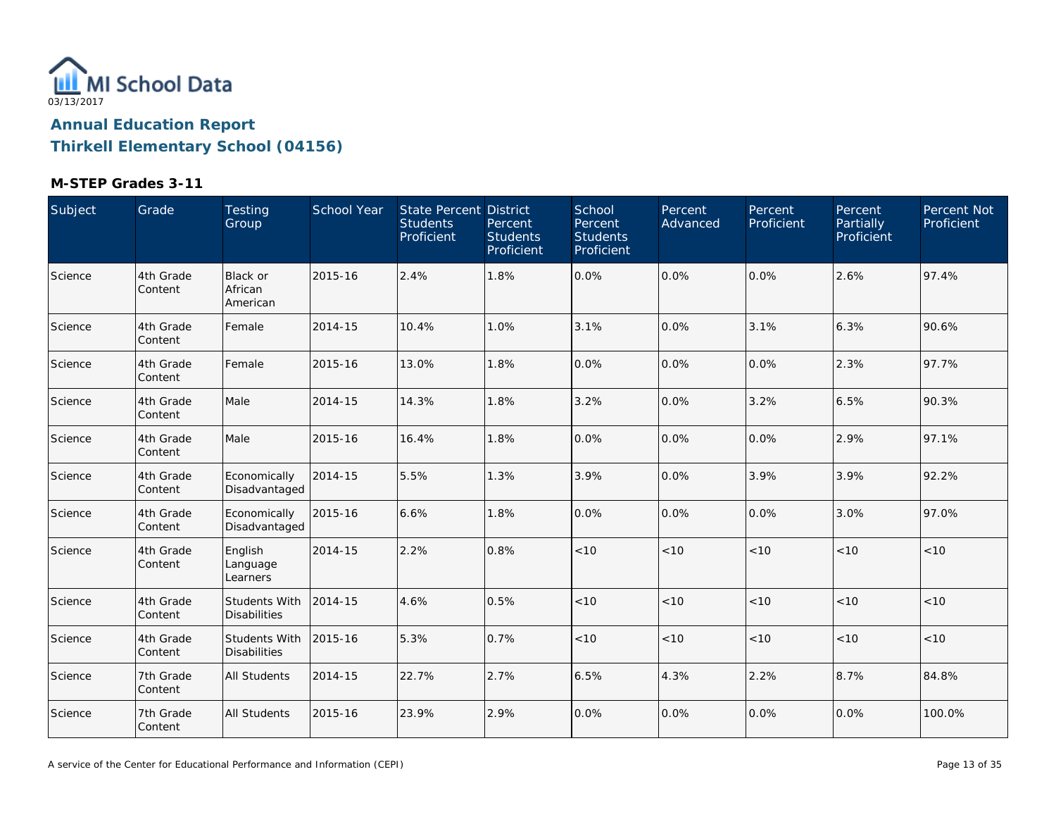

| Subject | Grade                | Testing<br>Group                            | School Year | <b>State Percent District</b><br><b>Students</b><br>Proficient | Percent<br><b>Students</b><br>Proficient | School<br>Percent<br><b>Students</b><br>Proficient | Percent<br>Advanced | Percent<br>Proficient | Percent<br>Partially<br>Proficient | Percent Not<br>Proficient |
|---------|----------------------|---------------------------------------------|-------------|----------------------------------------------------------------|------------------------------------------|----------------------------------------------------|---------------------|-----------------------|------------------------------------|---------------------------|
| Science | 4th Grade<br>Content | Black or<br>African<br>American             | 2015-16     | 2.4%                                                           | 1.8%                                     | 0.0%                                               | 0.0%                | 0.0%                  | 2.6%                               | 97.4%                     |
| Science | 4th Grade<br>Content | Female                                      | 2014-15     | 10.4%                                                          | 1.0%                                     | 3.1%                                               | 0.0%                | 3.1%                  | 6.3%                               | 90.6%                     |
| Science | 4th Grade<br>Content | Female                                      | 2015-16     | 13.0%                                                          | 1.8%                                     | 0.0%                                               | 0.0%                | 0.0%                  | 2.3%                               | 97.7%                     |
| Science | 4th Grade<br>Content | Male                                        | 2014-15     | 14.3%                                                          | 1.8%                                     | 3.2%                                               | 0.0%                | 3.2%                  | 6.5%                               | 90.3%                     |
| Science | 4th Grade<br>Content | Male                                        | 2015-16     | 16.4%                                                          | 1.8%                                     | 0.0%                                               | 0.0%                | 0.0%                  | 2.9%                               | 97.1%                     |
| Science | 4th Grade<br>Content | Economically<br>Disadvantaged               | 2014-15     | 5.5%                                                           | 1.3%                                     | 3.9%                                               | 0.0%                | 3.9%                  | 3.9%                               | 92.2%                     |
| Science | 4th Grade<br>Content | Economically<br>Disadvantaged               | 2015-16     | 6.6%                                                           | 1.8%                                     | 0.0%                                               | 0.0%                | 0.0%                  | 3.0%                               | 97.0%                     |
| Science | 4th Grade<br>Content | English<br>Language<br>Learners             | 2014-15     | 2.2%                                                           | 0.8%                                     | $<10$                                              | $<10$               | < 10                  | < 10                               | < 10                      |
| Science | 4th Grade<br>Content | Students With<br><b>Disabilities</b>        | 2014-15     | 4.6%                                                           | 0.5%                                     | < 10                                               | < 10                | < 10                  | < 10                               | < 10                      |
| Science | 4th Grade<br>Content | <b>Students With</b><br><b>Disabilities</b> | 2015-16     | 5.3%                                                           | 0.7%                                     | $<10$                                              | < 10                | < 10                  | < 10                               | < 10                      |
| Science | 7th Grade<br>Content | <b>All Students</b>                         | 2014-15     | 22.7%                                                          | 2.7%                                     | 6.5%                                               | 4.3%                | 2.2%                  | 8.7%                               | 84.8%                     |
| Science | 7th Grade<br>Content | All Students                                | 2015-16     | 23.9%                                                          | 2.9%                                     | 0.0%                                               | 0.0%                | 0.0%                  | 0.0%                               | 100.0%                    |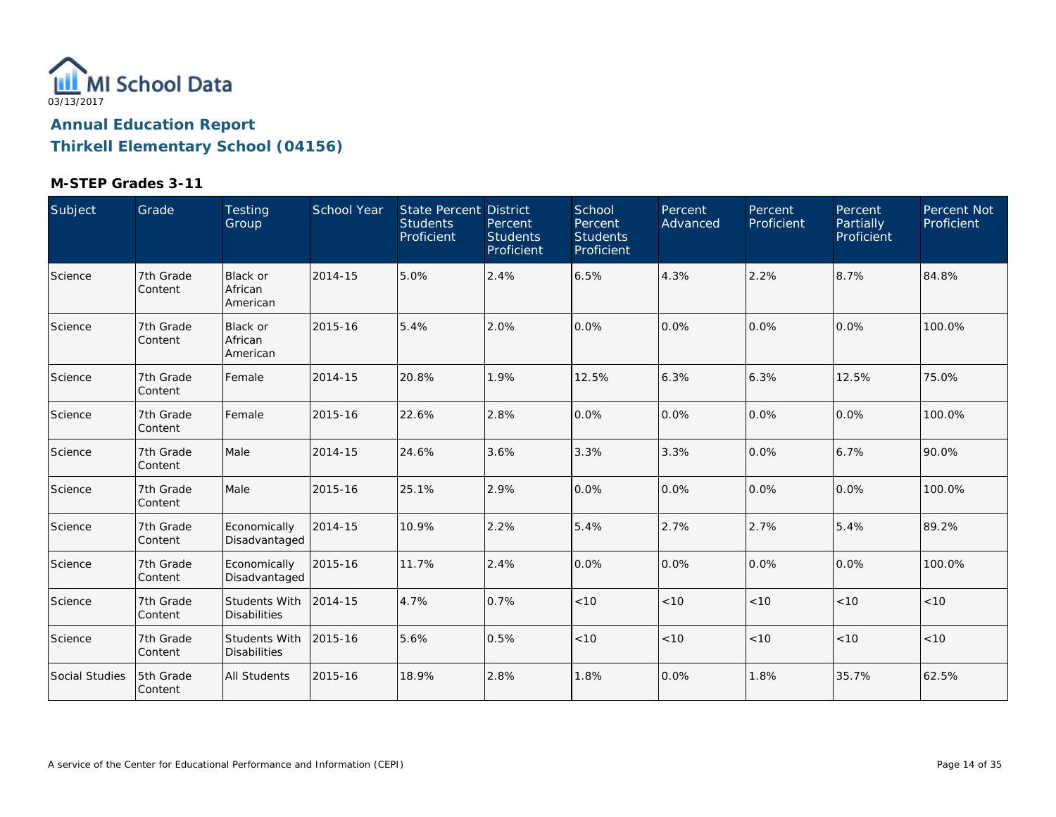

| Subject        | Grade                | Testing<br>Group                       | <b>School Year</b> | <b>State Percent District</b><br><b>Students</b><br>Proficient | Percent<br><b>Students</b><br>Proficient | School<br><b>Percent</b><br><b>Students</b><br>Proficient | Percent<br>Advanced | Percent<br>Proficient | Percent<br>Partially<br>Proficient | Percent Not<br>Proficient |
|----------------|----------------------|----------------------------------------|--------------------|----------------------------------------------------------------|------------------------------------------|-----------------------------------------------------------|---------------------|-----------------------|------------------------------------|---------------------------|
| Science        | 7th Grade<br>Content | Black or<br>African<br>American        | 2014-15            | 5.0%                                                           | 2.4%                                     | 6.5%                                                      | 4.3%                | 2.2%                  | 8.7%                               | 84.8%                     |
| Science        | 7th Grade<br>Content | <b>Black or</b><br>African<br>American | 2015-16            | 5.4%                                                           | 2.0%                                     | 0.0%                                                      | 0.0%                | 0.0%                  | 0.0%                               | 100.0%                    |
| Science        | 7th Grade<br>Content | Female                                 | 2014-15            | 20.8%                                                          | 1.9%                                     | 12.5%                                                     | 6.3%                | 6.3%                  | 12.5%                              | 75.0%                     |
| Science        | 7th Grade<br>Content | Female                                 | 2015-16            | 22.6%                                                          | 2.8%                                     | 0.0%                                                      | 0.0%                | 0.0%                  | 0.0%                               | 100.0%                    |
| Science        | 7th Grade<br>Content | Male                                   | 2014-15            | 24.6%                                                          | 3.6%                                     | 3.3%                                                      | 3.3%                | 0.0%                  | 6.7%                               | 90.0%                     |
| Science        | 7th Grade<br>Content | Male                                   | 2015-16            | 25.1%                                                          | 2.9%                                     | 0.0%                                                      | 0.0%                | 0.0%                  | 0.0%                               | 100.0%                    |
| Science        | 7th Grade<br>Content | Economically<br>Disadvantaged          | 2014-15            | 10.9%                                                          | 2.2%                                     | 5.4%                                                      | 2.7%                | 2.7%                  | 5.4%                               | 89.2%                     |
| Science        | 7th Grade<br>Content | Economically<br>Disadvantaged          | 2015-16            | 11.7%                                                          | 2.4%                                     | 0.0%                                                      | 0.0%                | 0.0%                  | 0.0%                               | 100.0%                    |
| Science        | 7th Grade<br>Content | Students With<br><b>Disabilities</b>   | 2014-15            | 4.7%                                                           | 0.7%                                     | < 10                                                      | < 10                | < 10                  | < 10                               | < 10                      |
| Science        | 7th Grade<br>Content | Students With<br><b>Disabilities</b>   | 2015-16            | 5.6%                                                           | 0.5%                                     | < 10                                                      | < 10                | < 10                  | < 10                               | < 10                      |
| Social Studies | 5th Grade<br>Content | <b>All Students</b>                    | 2015-16            | 18.9%                                                          | 2.8%                                     | 1.8%                                                      | 0.0%                | 1.8%                  | 35.7%                              | 62.5%                     |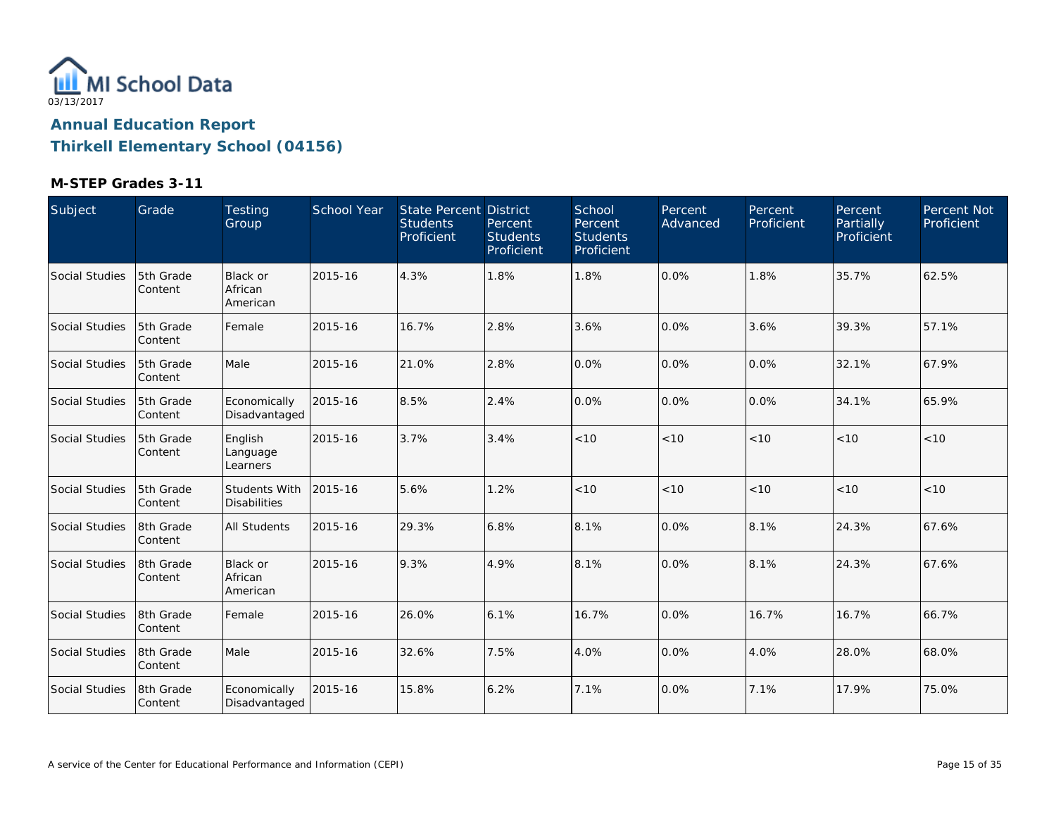

| Subject        | Grade                 | <b>Testing</b><br>Group                     | School Year | State Percent District<br><b>Students</b><br>Proficient | Percent<br><b>Students</b><br>Proficient | School<br>Percent<br><b>Students</b><br>Proficient | Percent<br>Advanced | Percent<br>Proficient | Percent<br><b>Partially</b><br>Proficient | Percent Not<br>Proficient |
|----------------|-----------------------|---------------------------------------------|-------------|---------------------------------------------------------|------------------------------------------|----------------------------------------------------|---------------------|-----------------------|-------------------------------------------|---------------------------|
| Social Studies | 5th Grade<br>Content  | Black or<br>African<br>American             | 2015-16     | 4.3%                                                    | 1.8%                                     | 1.8%                                               | 0.0%                | 1.8%                  | 35.7%                                     | 62.5%                     |
| Social Studies | 5th Grade<br> Content | Female                                      | 2015-16     | 16.7%                                                   | 2.8%                                     | 3.6%                                               | 0.0%                | 3.6%                  | 39.3%                                     | 57.1%                     |
| Social Studies | 5th Grade<br>Content  | Male                                        | 2015-16     | 21.0%                                                   | 2.8%                                     | 0.0%                                               | 0.0%                | 0.0%                  | 32.1%                                     | 67.9%                     |
| Social Studies | 5th Grade<br>Content  | Economically<br>Disadvantaged               | 2015-16     | 8.5%                                                    | 2.4%                                     | 0.0%                                               | 0.0%                | 0.0%                  | 34.1%                                     | 65.9%                     |
| Social Studies | 5th Grade<br>Content  | English<br>Language<br>Learners             | 2015-16     | 3.7%                                                    | 3.4%                                     | < 10                                               | < 10                | < 10                  | < 10                                      | < 10                      |
| Social Studies | 5th Grade<br>Content  | <b>Students With</b><br><b>Disabilities</b> | 2015-16     | 5.6%                                                    | 1.2%                                     | < 10                                               | < 10                | < 10                  | < 10                                      | < 10                      |
| Social Studies | 18th Grade<br>Content | <b>All Students</b>                         | 2015-16     | 29.3%                                                   | 6.8%                                     | 8.1%                                               | 0.0%                | 8.1%                  | 24.3%                                     | 67.6%                     |
| Social Studies | 8th Grade<br>Content  | Black or<br>African<br>American             | 2015-16     | 9.3%                                                    | 4.9%                                     | 8.1%                                               | 0.0%                | 8.1%                  | 24.3%                                     | 67.6%                     |
| Social Studies | 18th Grade<br>Content | Female                                      | 2015-16     | 26.0%                                                   | 6.1%                                     | 16.7%                                              | 0.0%                | 16.7%                 | 16.7%                                     | 66.7%                     |
| Social Studies | 8th Grade<br>Content  | Male                                        | 2015-16     | 32.6%                                                   | 7.5%                                     | 4.0%                                               | 0.0%                | 4.0%                  | 28.0%                                     | 68.0%                     |
| Social Studies | 8th Grade<br>Content  | Economically<br>Disadvantaged               | 2015-16     | 15.8%                                                   | 6.2%                                     | 7.1%                                               | 0.0%                | 7.1%                  | 17.9%                                     | 75.0%                     |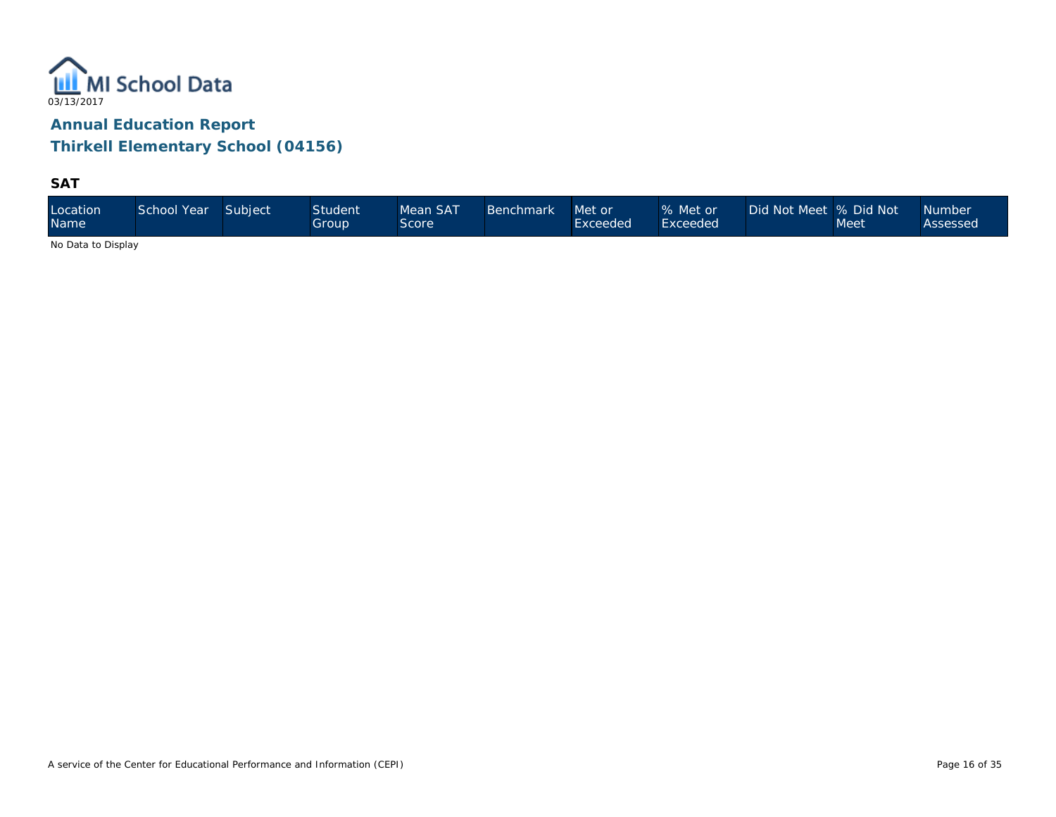

**SAT**

| Location<br><b>Name</b> | School Year | Subject | <b>Student</b><br>Group' | Mean SAT<br>Score | Benchmark ' | Met or<br>Exceeded | % Met or<br>Exceeded | Did Not Meet 1% Did Not 1 | Meet | <b>Number</b><br>Assessed |
|-------------------------|-------------|---------|--------------------------|-------------------|-------------|--------------------|----------------------|---------------------------|------|---------------------------|
|-------------------------|-------------|---------|--------------------------|-------------------|-------------|--------------------|----------------------|---------------------------|------|---------------------------|

No Data to Display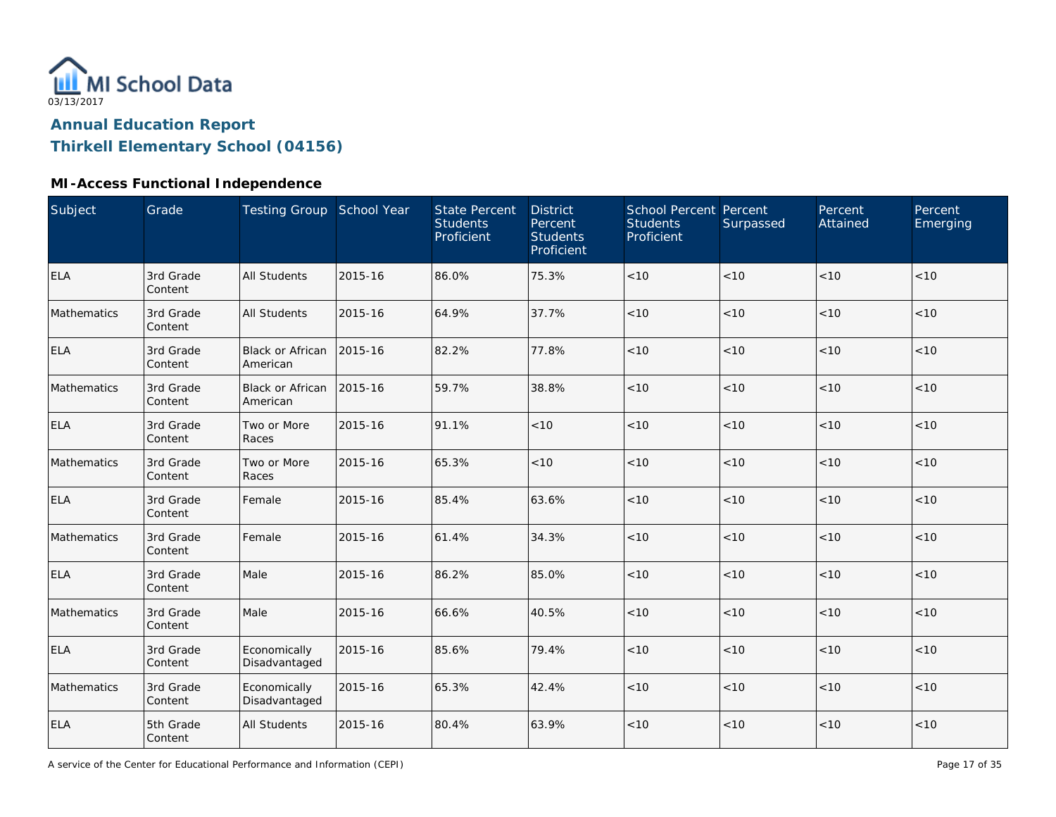

## **Annual Education Report**

## **Thirkell Elementary School (04156)**

## **MI-Access Functional Independence**

| <b>Subject</b> | Grade                | Testing Group School Year           |         | <b>State Percent</b><br><b>Students</b><br>Proficient | <b>District</b><br>Percent<br><b>Students</b><br>Proficient | School Percent Percent<br><b>Students</b><br>Proficient | Surpassed | Percent<br>Attained | Percent<br>Emerging |
|----------------|----------------------|-------------------------------------|---------|-------------------------------------------------------|-------------------------------------------------------------|---------------------------------------------------------|-----------|---------------------|---------------------|
| <b>ELA</b>     | 3rd Grade<br>Content | <b>All Students</b>                 | 2015-16 | 86.0%                                                 | 75.3%                                                       | $<10$                                                   | < 10      | < 10                | < 10                |
| Mathematics    | 3rd Grade<br>Content | <b>All Students</b>                 | 2015-16 | 64.9%                                                 | 37.7%                                                       | < 10                                                    | < 10      | < 10                | < 10                |
| <b>ELA</b>     | 3rd Grade<br>Content | <b>Black or African</b><br>American | 2015-16 | 82.2%                                                 | 77.8%                                                       | < 10                                                    | < 10      | < 10                | < 10                |
| Mathematics    | 3rd Grade<br>Content | <b>Black or African</b><br>American | 2015-16 | 59.7%                                                 | 38.8%                                                       | $<10$                                                   | < 10      | < 10                | < 10                |
| <b>ELA</b>     | 3rd Grade<br>Content | Two or More<br>Races                | 2015-16 | 91.1%                                                 | < 10                                                        | < 10                                                    | < 10      | < 10                | < 10                |
| Mathematics    | 3rd Grade<br>Content | Two or More<br>Races                | 2015-16 | 65.3%                                                 | < 10                                                        | $<10$                                                   | < 10      | < 10                | < 10                |
| <b>ELA</b>     | 3rd Grade<br>Content | Female                              | 2015-16 | 85.4%                                                 | 63.6%                                                       | < 10                                                    | < 10      | < 10                | < 10                |
| Mathematics    | 3rd Grade<br>Content | Female                              | 2015-16 | 61.4%                                                 | 34.3%                                                       | < 10                                                    | < 10      | < 10                | < 10                |
| <b>ELA</b>     | 3rd Grade<br>Content | Male                                | 2015-16 | 86.2%                                                 | 85.0%                                                       | $<10$                                                   | < 10      | < 10                | < 10                |
| Mathematics    | 3rd Grade<br>Content | Male                                | 2015-16 | 66.6%                                                 | 40.5%                                                       | $<10$                                                   | < 10      | < 10                | < 10                |
| <b>ELA</b>     | 3rd Grade<br>Content | Economically<br>Disadvantaged       | 2015-16 | 85.6%                                                 | 79.4%                                                       | $<10$                                                   | < 10      | < 10                | < 10                |
| Mathematics    | 3rd Grade<br>Content | Economically<br>Disadvantaged       | 2015-16 | 65.3%                                                 | 42.4%                                                       | < 10                                                    | < 10      | < 10                | < 10                |
| <b>ELA</b>     | 5th Grade<br>Content | <b>All Students</b>                 | 2015-16 | 80.4%                                                 | 63.9%                                                       | $<10$                                                   | < 10      | < 10                | < 10                |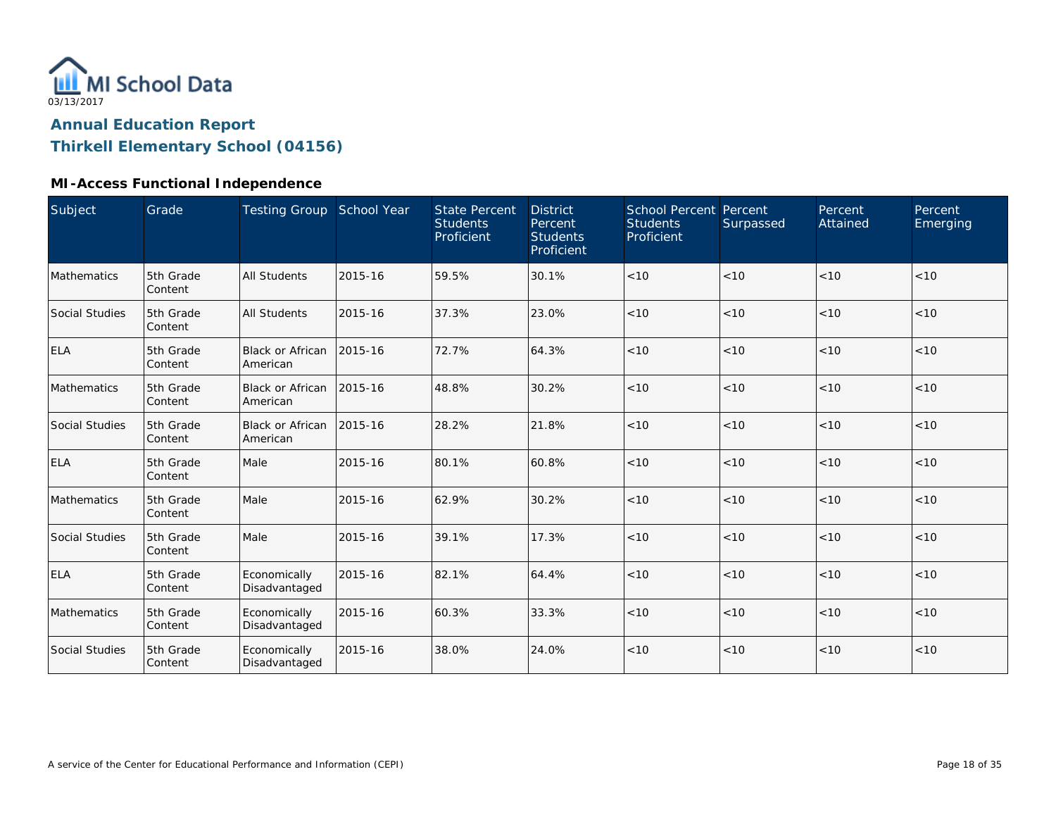

## **Annual Education Report**

## **Thirkell Elementary School (04156)**

## **MI-Access Functional Independence**

| Subject               | Grade                | Testing Group School Year     |         | <b>State Percent</b><br><b>Students</b><br>Proficient | <b>District</b><br>Percent<br><b>Students</b><br>Proficient | School Percent Percent<br><b>Students</b><br>Proficient | Surpassed | Percent<br>Attained | Percent<br>Emerging |
|-----------------------|----------------------|-------------------------------|---------|-------------------------------------------------------|-------------------------------------------------------------|---------------------------------------------------------|-----------|---------------------|---------------------|
| Mathematics           | 5th Grade<br>Content | <b>All Students</b>           | 2015-16 | 59.5%                                                 | 30.1%                                                       | < 10                                                    | <10       | < 10                | < 10                |
| <b>Social Studies</b> | 5th Grade<br>Content | <b>All Students</b>           | 2015-16 | 37.3%                                                 | 23.0%                                                       | < 10                                                    | < 10      | < 10                | < 10                |
| <b>ELA</b>            | 5th Grade<br>Content | Black or African<br>American  | 2015-16 | 72.7%                                                 | 64.3%                                                       | < 10                                                    | < 10      | < 10                | < 10                |
| Mathematics           | 5th Grade<br>Content | Black or African<br>American  | 2015-16 | 48.8%                                                 | 30.2%                                                       | < 10                                                    | < 10      | < 10                | < 10                |
| <b>Social Studies</b> | 5th Grade<br>Content | Black or African<br>American  | 2015-16 | 28.2%                                                 | 21.8%                                                       | < 10                                                    | < 10      | < 10                | < 10                |
| <b>ELA</b>            | 5th Grade<br>Content | Male                          | 2015-16 | 80.1%                                                 | 60.8%                                                       | < 10                                                    | < 10      | < 10                | < 10                |
| Mathematics           | 5th Grade<br>Content | Male                          | 2015-16 | 62.9%                                                 | 30.2%                                                       | < 10                                                    | < 10      | < 10                | < 10                |
| <b>Social Studies</b> | 5th Grade<br>Content | Male                          | 2015-16 | 39.1%                                                 | 17.3%                                                       | < 10                                                    | < 10      | < 10                | < 10                |
| <b>ELA</b>            | 5th Grade<br>Content | Economically<br>Disadvantaged | 2015-16 | 82.1%                                                 | 64.4%                                                       | < 10                                                    | < 10      | < 10                | < 10                |
| Mathematics           | 5th Grade<br>Content | Economically<br>Disadvantaged | 2015-16 | 60.3%                                                 | 33.3%                                                       | < 10                                                    | < 10      | < 10                | < 10                |
| <b>Social Studies</b> | 5th Grade<br>Content | Economically<br>Disadvantaged | 2015-16 | 38.0%                                                 | 24.0%                                                       | < 10                                                    | < 10      | < 10                | < 10                |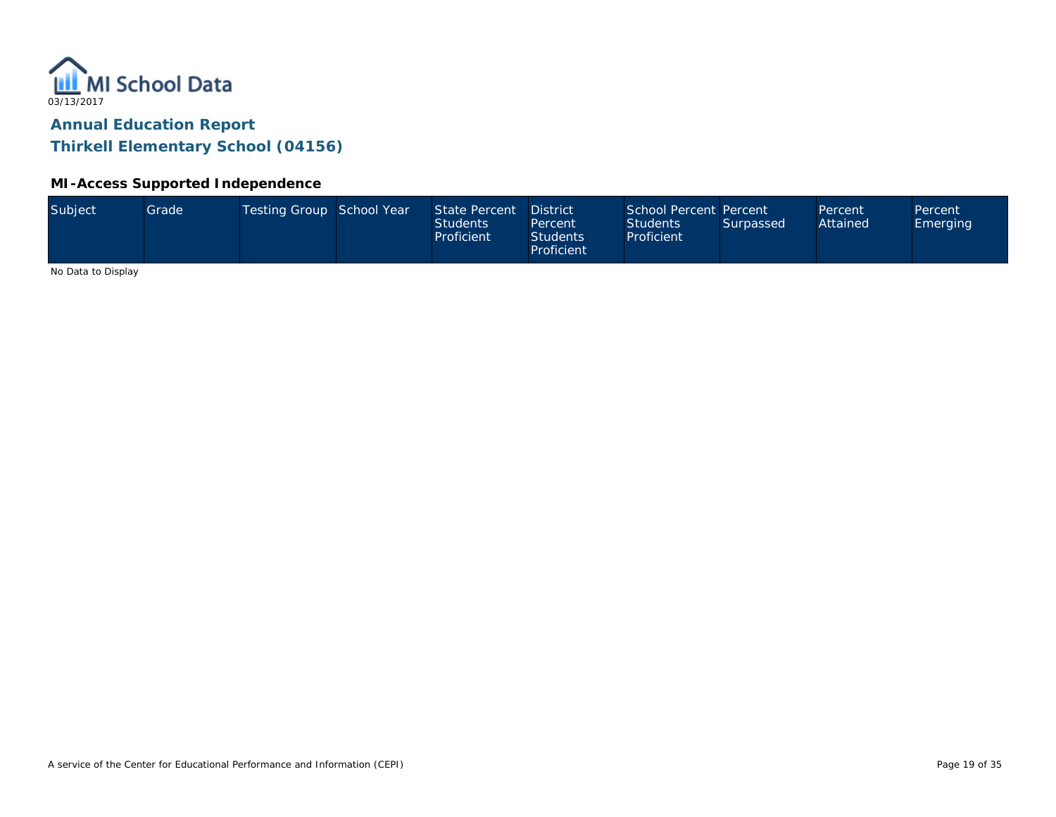

#### **MI-Access Supported Independence**

No Data to Display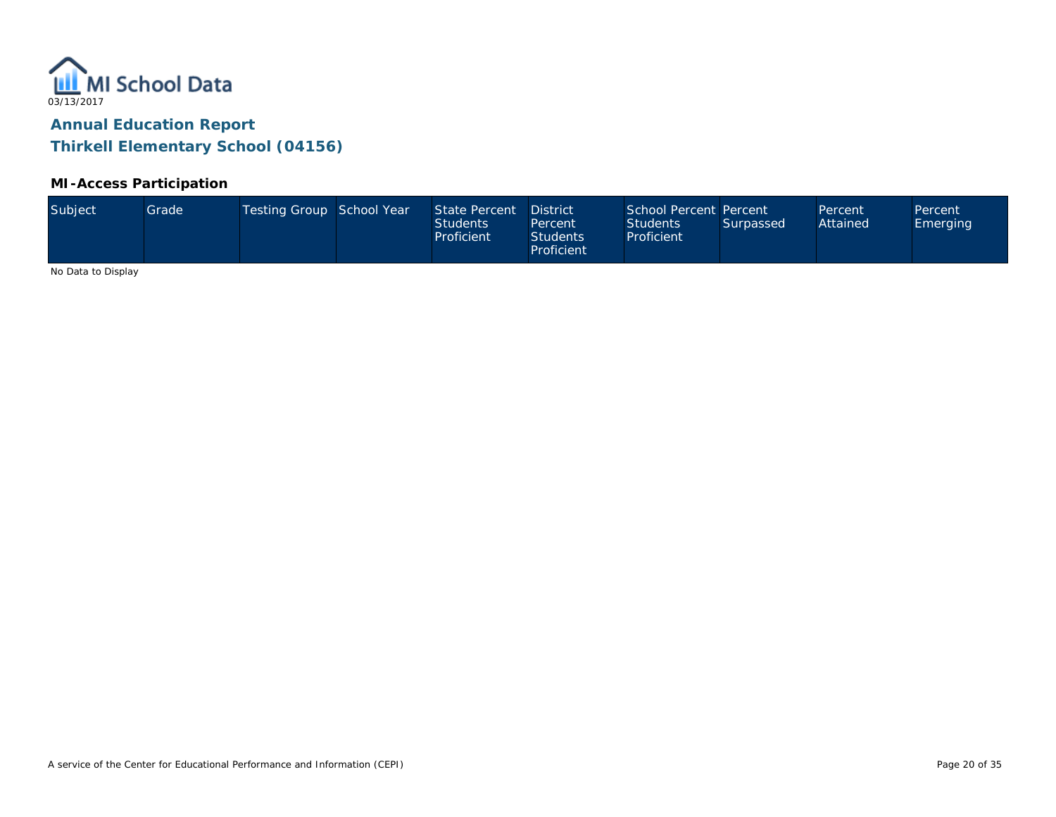

#### **MI-Access Participation**

| Subject<br>Testing Group School Year<br>School Percent Percent<br>State Percent<br>Grade<br><b>District</b><br>Percent<br>Percent<br>Attained<br><b>Students</b><br><b>Students</b><br>Surpassed<br><b>Emerging</b><br>Percent<br>Proficient<br><b>Students</b><br>Proficient<br>Proficient |  |
|---------------------------------------------------------------------------------------------------------------------------------------------------------------------------------------------------------------------------------------------------------------------------------------------|--|
|---------------------------------------------------------------------------------------------------------------------------------------------------------------------------------------------------------------------------------------------------------------------------------------------|--|

No Data to Display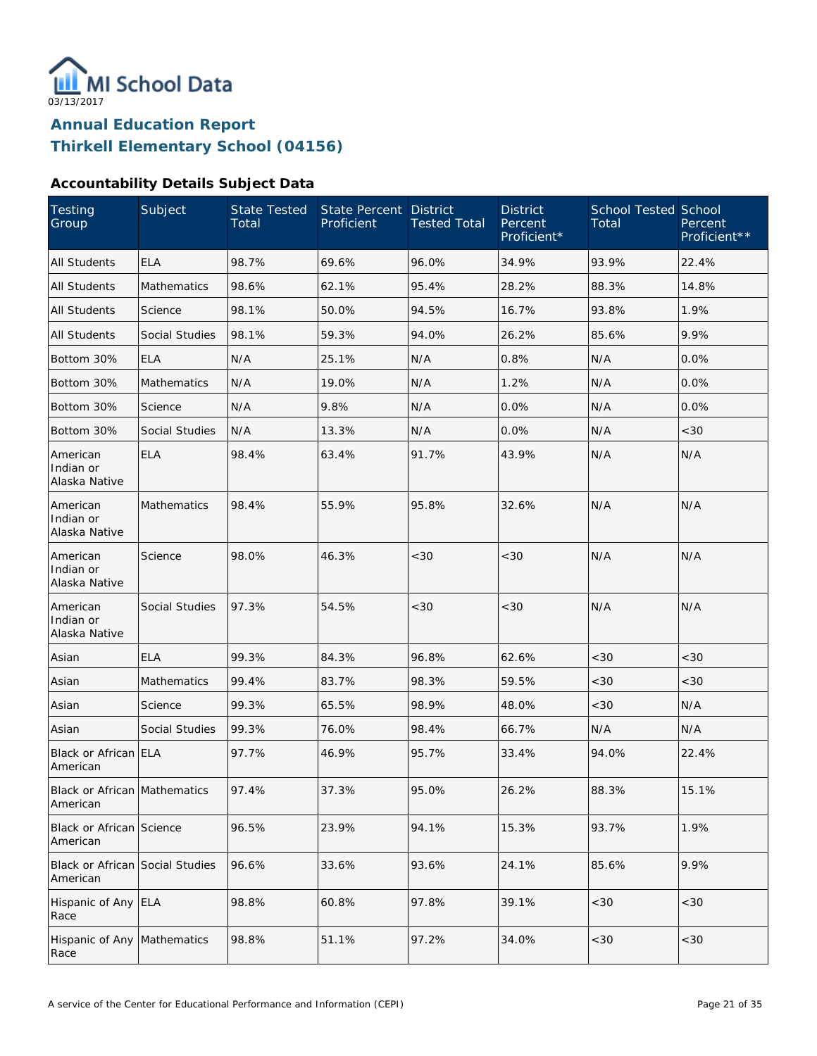

#### **Accountability Details Subject Data**

| Testing<br>Group                                | Subject            | <b>State Tested</b><br>Total | <b>State Percent</b><br>Proficient | <b>District</b><br><b>Tested Total</b> | <b>District</b><br>Percent<br>Proficient* | <b>School Tested School</b><br>Total | Percent<br>Proficient** |
|-------------------------------------------------|--------------------|------------------------------|------------------------------------|----------------------------------------|-------------------------------------------|--------------------------------------|-------------------------|
| <b>All Students</b>                             | <b>ELA</b>         | 98.7%                        | 69.6%                              | 96.0%                                  | 34.9%                                     | 93.9%                                | 22.4%                   |
| All Students                                    | Mathematics        | 98.6%                        | 62.1%                              | 95.4%                                  | 28.2%                                     | 88.3%                                | 14.8%                   |
| All Students                                    | Science            | 98.1%                        | 50.0%                              | 94.5%                                  | 16.7%                                     | 93.8%                                | 1.9%                    |
| <b>All Students</b>                             | Social Studies     | 98.1%                        | 59.3%                              | 94.0%                                  | 26.2%                                     | 85.6%                                | 9.9%                    |
| Bottom 30%                                      | <b>ELA</b>         | N/A                          | 25.1%                              | N/A                                    | 0.8%                                      | N/A                                  | 0.0%                    |
| Bottom 30%                                      | Mathematics        | N/A                          | 19.0%                              | N/A                                    | 1.2%                                      | N/A                                  | 0.0%                    |
| Bottom 30%                                      | Science            | N/A                          | 9.8%                               | N/A                                    | 0.0%                                      | N/A                                  | 0.0%                    |
| Bottom 30%                                      | Social Studies     | N/A                          | 13.3%                              | N/A                                    | 0.0%                                      | N/A                                  | <30                     |
| American<br>Indian or<br>Alaska Native          | <b>ELA</b>         | 98.4%                        | 63.4%                              | 91.7%                                  | 43.9%                                     | N/A                                  | N/A                     |
| American<br>Indian or<br>Alaska Native          | <b>Mathematics</b> | 98.4%                        | 55.9%                              | 95.8%                                  | 32.6%                                     | N/A                                  | N/A                     |
| American<br>Indian or<br>Alaska Native          | Science            | 98.0%                        | 46.3%                              | <30                                    | <30                                       | N/A                                  | N/A                     |
| American<br>Indian or<br>Alaska Native          | Social Studies     | 97.3%                        | 54.5%                              | <30                                    | <30                                       | N/A                                  | N/A                     |
| Asian                                           | <b>ELA</b>         | 99.3%                        | 84.3%                              | 96.8%                                  | 62.6%                                     | < 30                                 | < 30                    |
| Asian                                           | <b>Mathematics</b> | 99.4%                        | 83.7%                              | 98.3%                                  | 59.5%                                     | <30                                  | <30                     |
| Asian                                           | Science            | 99.3%                        | 65.5%                              | 98.9%                                  | 48.0%                                     | <30                                  | N/A                     |
| Asian                                           | Social Studies     | 99.3%                        | 76.0%                              | 98.4%                                  | 66.7%                                     | N/A                                  | N/A                     |
| Black or African ELA<br>American                |                    | 97.7%                        | 46.9%                              | 95.7%                                  | 33.4%                                     | 94.0%                                | 22.4%                   |
| <b>Black or African Mathematics</b><br>American |                    | 97.4%                        | 37.3%                              | 95.0%                                  | 26.2%                                     | 88.3%                                | 15.1%                   |
| Black or African Science<br>American            |                    | 96.5%                        | 23.9%                              | 94.1%                                  | 15.3%                                     | 93.7%                                | 1.9%                    |
| Black or African Social Studies<br>American     |                    | 96.6%                        | 33.6%                              | 93.6%                                  | 24.1%                                     | 85.6%                                | 9.9%                    |
| Hispanic of Any ELA<br>Race                     |                    | 98.8%                        | 60.8%                              | 97.8%                                  | 39.1%                                     | <30                                  | <30                     |
| Hispanic of Any<br>Race                         | Mathematics        | 98.8%                        | 51.1%                              | 97.2%                                  | 34.0%                                     | $<30\,$                              | $<30$                   |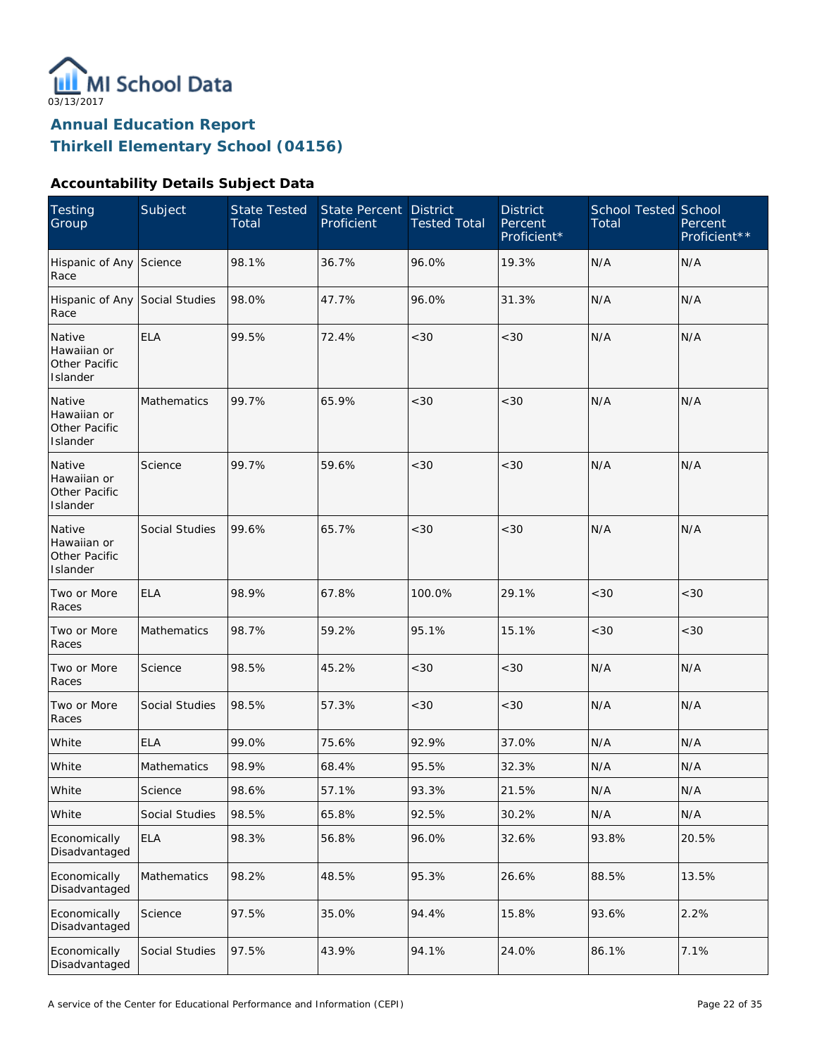

### **Accountability Details Subject Data**

| <b>Testing</b><br>Group                            | Subject        | <b>State Tested</b><br>Total | State Percent<br>Proficient | <b>District</b><br><b>Tested Total</b> | <b>District</b><br>Percent<br>Proficient* | <b>School Tested School</b><br>Total | Percent<br>Proficient** |
|----------------------------------------------------|----------------|------------------------------|-----------------------------|----------------------------------------|-------------------------------------------|--------------------------------------|-------------------------|
| Hispanic of Any Science<br>Race                    |                | 98.1%                        | 36.7%                       | 96.0%                                  | 19.3%                                     | N/A                                  | N/A                     |
| Hispanic of Any Social Studies<br>Race             |                | 98.0%                        | 47.7%                       | 96.0%                                  | 31.3%                                     | N/A                                  | N/A                     |
| Native<br>Hawaiian or<br>Other Pacific<br>Islander | <b>ELA</b>     | 99.5%                        | 72.4%                       | <30                                    | <30                                       | N/A                                  | N/A                     |
| Native<br>Hawaiian or<br>Other Pacific<br>Islander | Mathematics    | 99.7%                        | 65.9%                       | < 30                                   | < 30                                      | N/A                                  | N/A                     |
| Native<br>Hawaiian or<br>Other Pacific<br>Islander | Science        | 99.7%                        | 59.6%                       | <30                                    | < 30                                      | N/A                                  | N/A                     |
| Native<br>Hawaiian or<br>Other Pacific<br>Islander | Social Studies | 99.6%                        | 65.7%                       | <30                                    | < 30                                      | N/A                                  | N/A                     |
| Two or More<br>Races                               | <b>ELA</b>     | 98.9%                        | 67.8%                       | 100.0%                                 | 29.1%                                     | <30                                  | <30                     |
| Two or More<br>Races                               | Mathematics    | 98.7%                        | 59.2%                       | 95.1%                                  | 15.1%                                     | <30                                  | <30                     |
| Two or More<br>Races                               | Science        | 98.5%                        | 45.2%                       | <30                                    | <30                                       | N/A                                  | N/A                     |
| Two or More<br>Races                               | Social Studies | 98.5%                        | 57.3%                       | <30                                    | <30                                       | N/A                                  | N/A                     |
| White                                              | <b>ELA</b>     | 99.0%                        | 75.6%                       | 92.9%                                  | 37.0%                                     | N/A                                  | N/A                     |
| White                                              | Mathematics    | 98.9%                        | 68.4%                       | 95.5%                                  | 32.3%                                     | N/A                                  | N/A                     |
| White                                              | Science        | 98.6%                        | 57.1%                       | 93.3%                                  | 21.5%                                     | N/A                                  | N/A                     |
| White                                              | Social Studies | 98.5%                        | 65.8%                       | 92.5%                                  | 30.2%                                     | N/A                                  | N/A                     |
| Economically<br>Disadvantaged                      | <b>ELA</b>     | 98.3%                        | 56.8%                       | 96.0%                                  | 32.6%                                     | 93.8%                                | 20.5%                   |
| Economically<br>Disadvantaged                      | Mathematics    | 98.2%                        | 48.5%                       | 95.3%                                  | 26.6%                                     | 88.5%                                | 13.5%                   |
| Economically<br>Disadvantaged                      | Science        | 97.5%                        | 35.0%                       | 94.4%                                  | 15.8%                                     | 93.6%                                | 2.2%                    |
| Economically<br>Disadvantaged                      | Social Studies | 97.5%                        | 43.9%                       | 94.1%                                  | 24.0%                                     | 86.1%                                | 7.1%                    |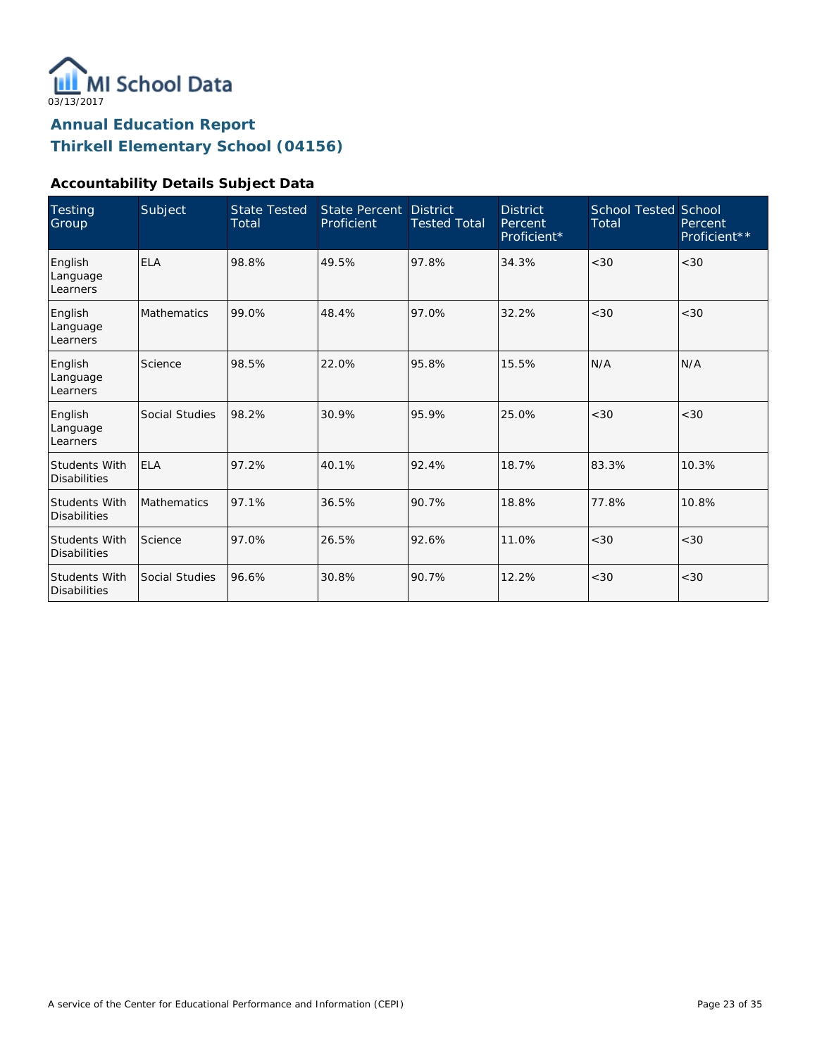

#### **Accountability Details Subject Data**

| <b>Testing</b><br>Group                     | Subject            | <b>State Tested</b><br>Total | State Percent<br>Proficient | <b>District</b><br><b>Tested Total</b> | <b>District</b><br>Percent<br>Proficient* | <b>School Tested School</b><br>Total | Percent<br>Proficient** |
|---------------------------------------------|--------------------|------------------------------|-----------------------------|----------------------------------------|-------------------------------------------|--------------------------------------|-------------------------|
| English<br>Language<br>Learners             | <b>ELA</b>         | 98.8%                        | 49.5%                       | 97.8%                                  | 34.3%                                     | < 30                                 | < 30                    |
| English<br>Language<br>Learners             | <b>Mathematics</b> | 99.0%                        | 48.4%                       | 97.0%                                  | 32.2%                                     | < 30                                 | <30                     |
| English<br>Language<br>Learners             | Science            | 98.5%                        | 22.0%                       | 95.8%                                  | 15.5%                                     | N/A                                  | N/A                     |
| English<br>Language<br>Learners             | Social Studies     | 98.2%                        | 30.9%                       | 95.9%                                  | 25.0%                                     | < 30                                 | <30                     |
| <b>Students With</b><br><b>Disabilities</b> | <b>ELA</b>         | 97.2%                        | 40.1%                       | 92.4%                                  | 18.7%                                     | 83.3%                                | 10.3%                   |
| <b>Students With</b><br><b>Disabilities</b> | <b>Mathematics</b> | 97.1%                        | 36.5%                       | 90.7%                                  | 18.8%                                     | 77.8%                                | 10.8%                   |
| <b>Students With</b><br><b>Disabilities</b> | Science            | 97.0%                        | 26.5%                       | 92.6%                                  | 11.0%                                     | < 30                                 | <30                     |
| Students With<br><b>Disabilities</b>        | Social Studies     | 96.6%                        | 30.8%                       | 90.7%                                  | 12.2%                                     | <30                                  | < 30                    |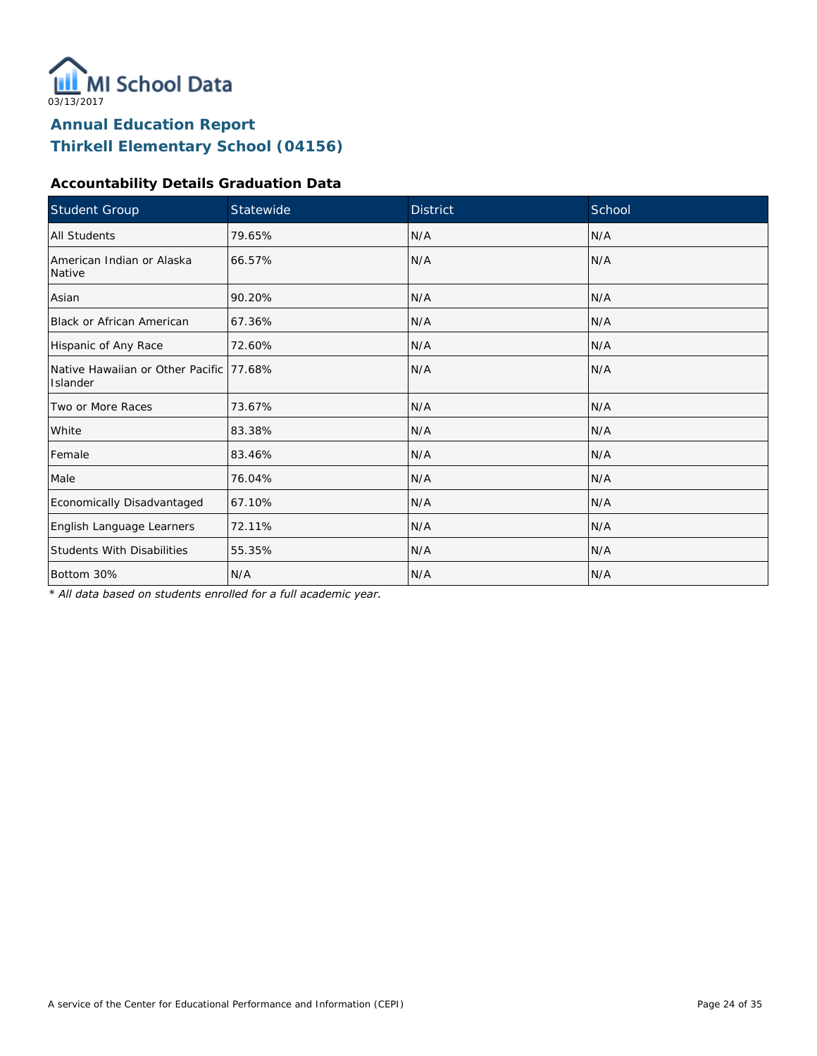

### **Accountability Details Graduation Data**

| Student Group                                        | Statewide | <b>District</b> | School |
|------------------------------------------------------|-----------|-----------------|--------|
| All Students                                         | 79.65%    | N/A             | N/A    |
| American Indian or Alaska<br>Native                  | 66.57%    | N/A             | N/A    |
| Asian                                                | 90.20%    | N/A             | N/A    |
| <b>Black or African American</b>                     | 67.36%    | N/A             | N/A    |
| Hispanic of Any Race                                 | 72.60%    | N/A             | N/A    |
| Native Hawaiian or Other Pacific 177.68%<br>Islander |           | N/A             | N/A    |
| Two or More Races                                    | 73.67%    | N/A             | N/A    |
| White                                                | 83.38%    | N/A             | N/A    |
| Female                                               | 83.46%    | N/A             | N/A    |
| Male                                                 | 76.04%    | N/A             | N/A    |
| Economically Disadvantaged                           | 67.10%    | N/A             | N/A    |
| English Language Learners                            | 72.11%    | N/A             | N/A    |
| <b>Students With Disabilities</b>                    | 55.35%    | N/A             | N/A    |
| Bottom 30%                                           | N/A       | N/A             | N/A    |

*\* All data based on students enrolled for a full academic year.*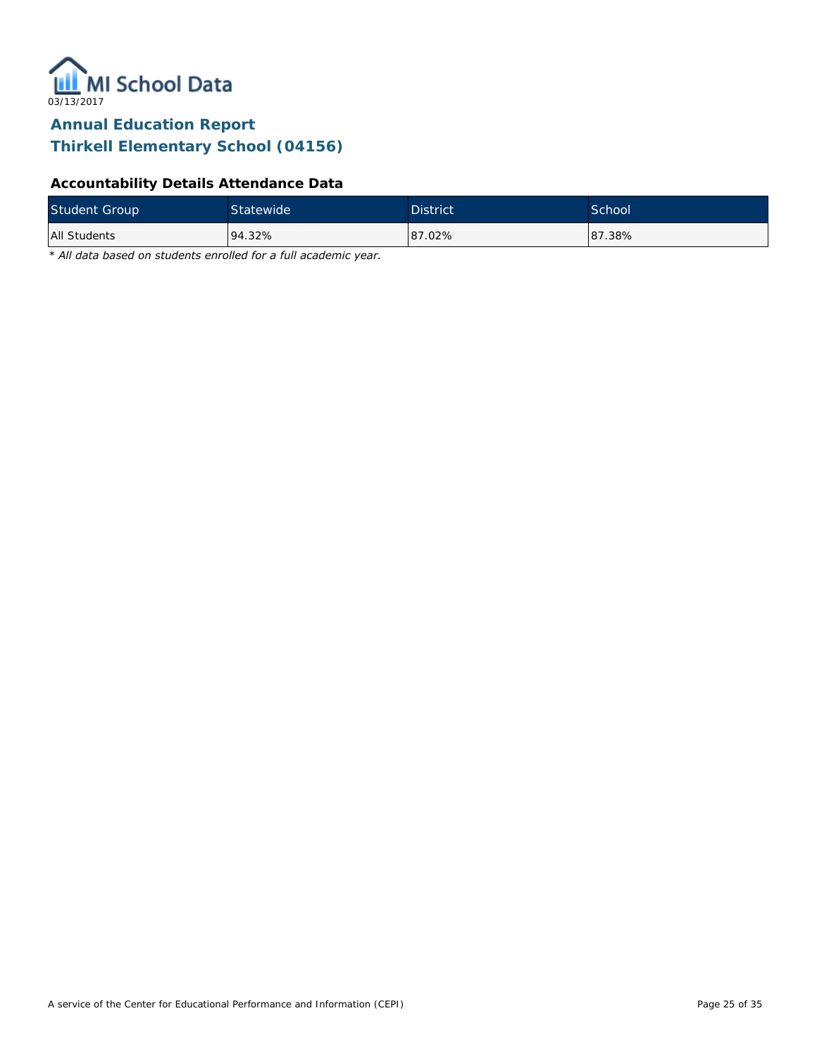

## **Accountability Details Attendance Data**

| <b>Student Group</b> | Statewide | <b>District</b> | School <sup>1</sup> |
|----------------------|-----------|-----------------|---------------------|
| All Students         | 94.32%    | 87.02%          | 87.38%              |

*\* All data based on students enrolled for a full academic year.*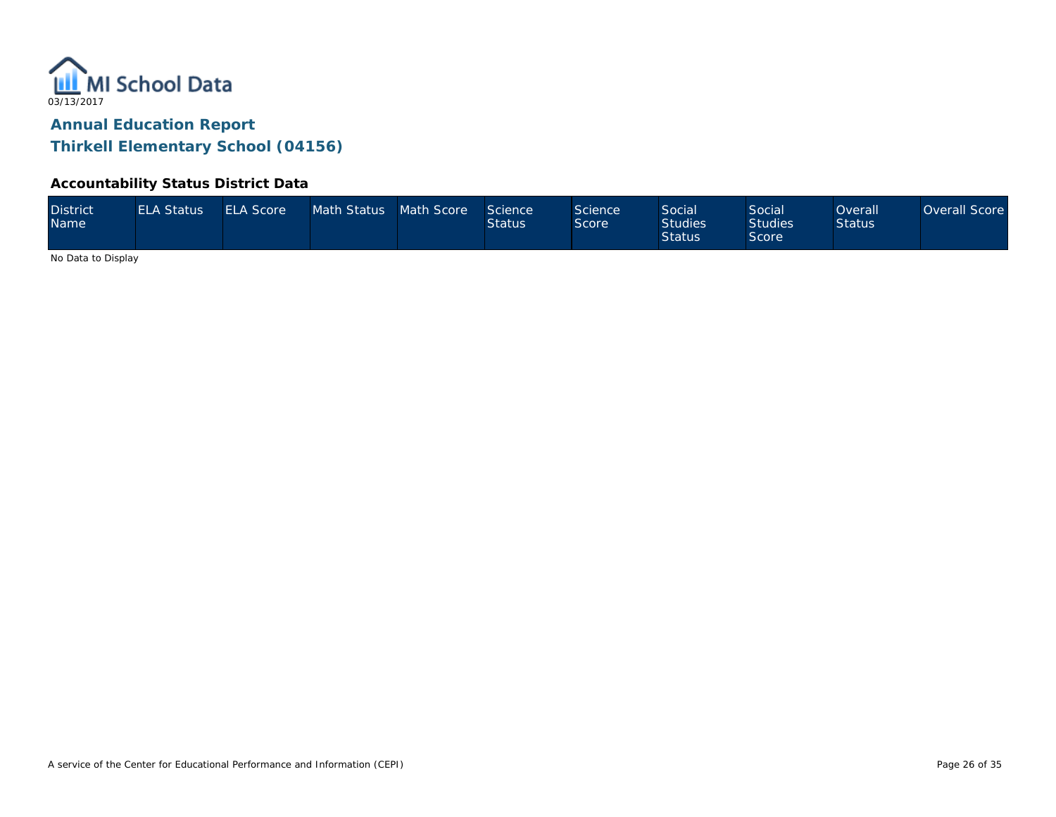

#### **Accountability Status District Data**

| <b>District</b><br>Name | <b>ELA Status</b> | <b>ELA Score</b> | Math Status Math Score |  | Science<br><b>Status</b> | Science<br>Score | Social<br><b>Studies</b><br><b>Status</b> | <b>Social</b><br><b>Studies</b><br>Score | Overall<br><b>Status</b> | Overall Score |
|-------------------------|-------------------|------------------|------------------------|--|--------------------------|------------------|-------------------------------------------|------------------------------------------|--------------------------|---------------|
|-------------------------|-------------------|------------------|------------------------|--|--------------------------|------------------|-------------------------------------------|------------------------------------------|--------------------------|---------------|

No Data to Display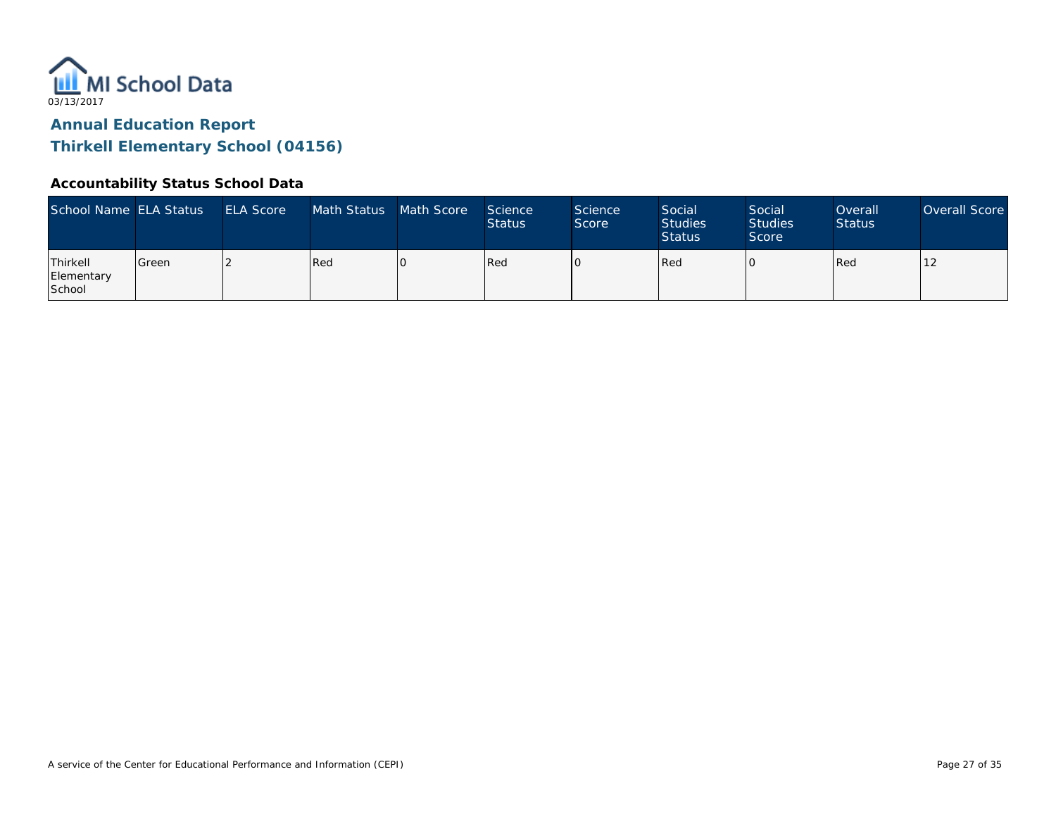

# **Annual Education Report**

**Thirkell Elementary School (04156)**

#### **Accountability Status School Data**

| School Name ELA Status                  |               | <b>ELA Score</b> | Math Status | Math Score | Science<br><b>Status</b> | <b>Science</b><br>Score | Social<br><b>Studies</b><br><b>Status</b> | Social<br><b>Studies</b><br>Score | Overall<br><b>Status</b> | Overall Score |
|-----------------------------------------|---------------|------------------|-------------|------------|--------------------------|-------------------------|-------------------------------------------|-----------------------------------|--------------------------|---------------|
| Thirkell<br>Elementary<br><b>School</b> | <b>IGreen</b> |                  | Red         |            | Red                      |                         | Red                                       |                                   | Red                      |               |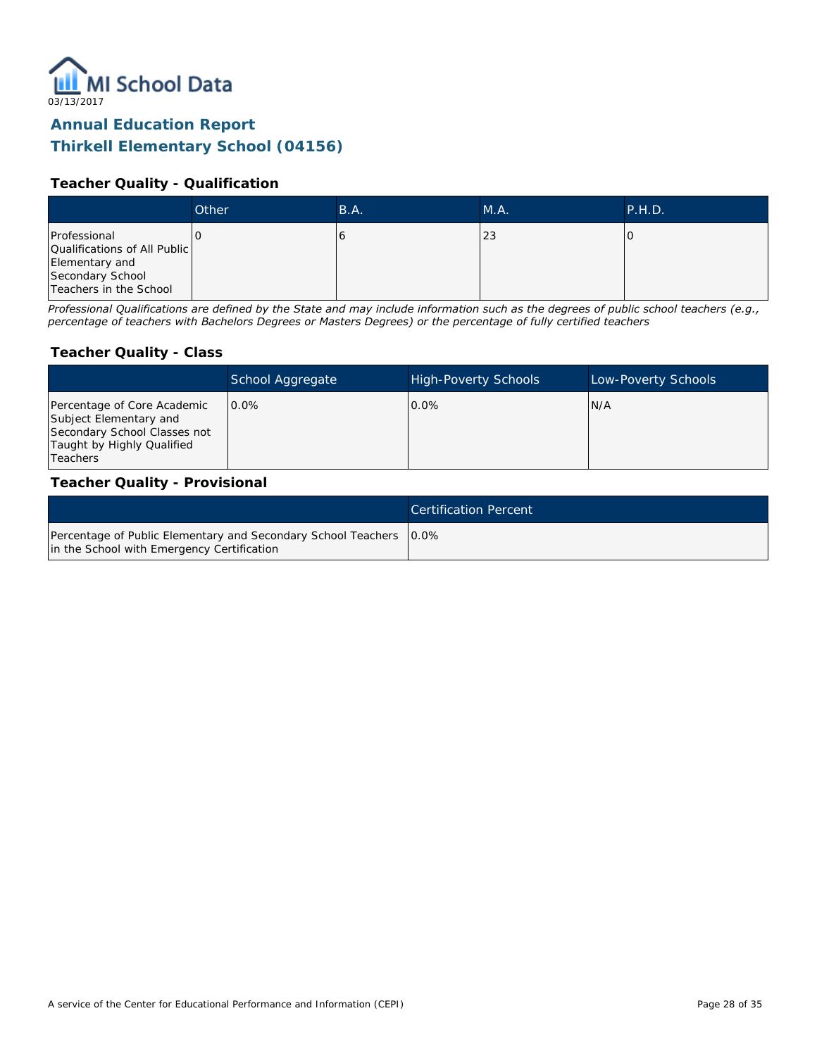

#### **Teacher Quality - Qualification**

|                                                                                                              | Other | B.A. | MA. | P.H.D. |
|--------------------------------------------------------------------------------------------------------------|-------|------|-----|--------|
| Professional<br>Qualifications of All Public<br>Elementary and<br>Secondary School<br>Teachers in the School |       |      | 23  |        |

*Professional Qualifications are defined by the State and may include information such as the degrees of public school teachers (e.g., percentage of teachers with Bachelors Degrees or Masters Degrees) or the percentage of fully certified teachers*

#### **Teacher Quality - Class**

|                                                                                                                                        | School Aggregate | <b>High-Poverty Schools</b> | Low-Poverty Schools |
|----------------------------------------------------------------------------------------------------------------------------------------|------------------|-----------------------------|---------------------|
| Percentage of Core Academic<br>Subject Elementary and<br>Secondary School Classes not<br>Taught by Highly Qualified<br><b>Teachers</b> | $0.0\%$          | $0.0\%$                     | N/A                 |

#### **Teacher Quality - Provisional**

|                                                                                                                    | Certification Percent |
|--------------------------------------------------------------------------------------------------------------------|-----------------------|
| Percentage of Public Elementary and Secondary School Teachers   0.0%<br>in the School with Emergency Certification |                       |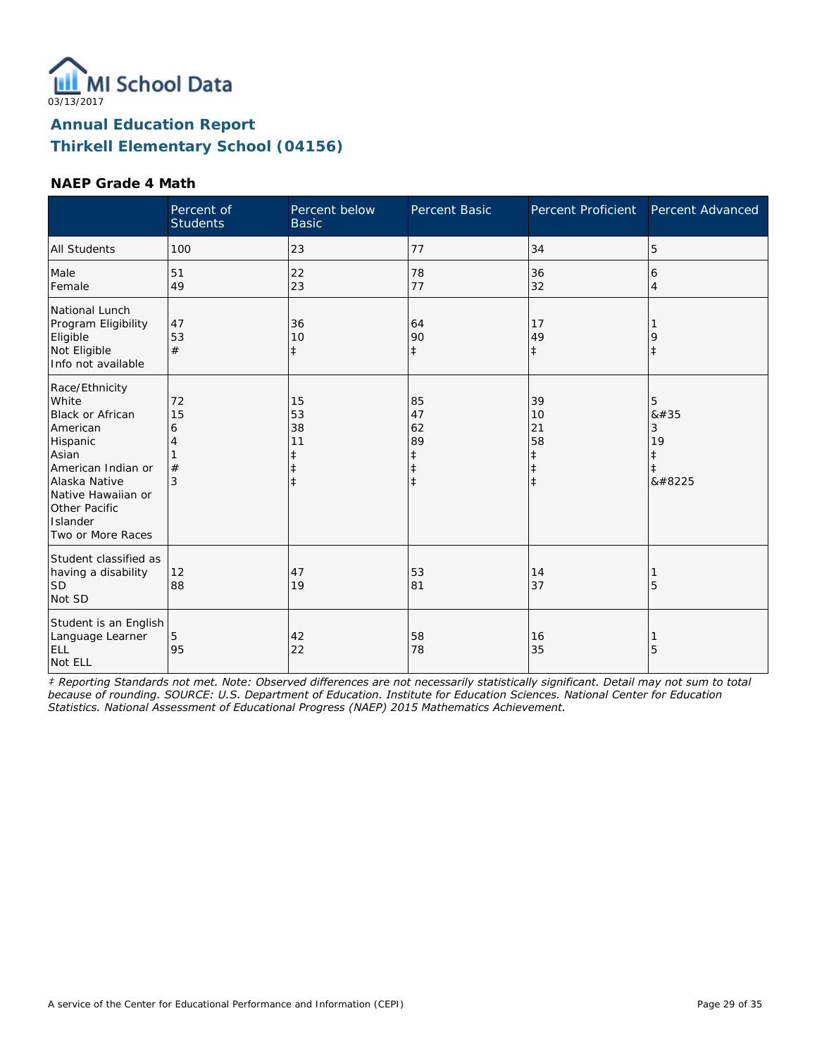

#### **NAEP Grade 4 Math**

|                                                                                                                                                                                                    | Percent of<br><b>Students</b> | Percent below<br><b>Basic</b>                         | <b>Percent Basic</b>                                  | Percent Proficient                                             | Percent Advanced                    |
|----------------------------------------------------------------------------------------------------------------------------------------------------------------------------------------------------|-------------------------------|-------------------------------------------------------|-------------------------------------------------------|----------------------------------------------------------------|-------------------------------------|
| <b>All Students</b>                                                                                                                                                                                | 100                           | 23                                                    | 77                                                    | 34                                                             | 5                                   |
| Male<br>Female                                                                                                                                                                                     | 51<br>49                      | 22<br>23                                              | 78<br>77                                              | 36<br>32                                                       | 6<br>4                              |
| National Lunch<br>Program Eligibility<br>Eligible<br>Not Eligible<br>Info not available                                                                                                            | 47<br>53<br>#                 | 36<br>10<br>$\ddagger$                                | 64<br>90<br>$\ddagger$                                | 17<br>49<br>$\ddagger$                                         | 9<br>$\ddagger$                     |
| Race/Ethnicity<br>White<br><b>Black or African</b><br>American<br>Hispanic<br>Asian<br>American Indian or<br>Alaska Native<br>Native Hawaiian or<br>Other Pacific<br>Islander<br>Two or More Races | 72<br>15<br>6<br>4<br>#<br>3  | 15<br>53<br>38<br>11<br>$\ddagger$<br>ŧ<br>$\ddagger$ | 85<br>47<br>62<br>89<br>ŧ<br>$\ddagger$<br>$\ddagger$ | 39<br>10<br>21<br>58<br>$\ddagger$<br>$\ddagger$<br>$\ddagger$ | 5<br>8#35<br>3<br>19<br>ŧ<br>ŧ<br>‡ |
| Student classified as<br>having a disability<br><b>SD</b><br>Not SD                                                                                                                                | 12<br>88                      | 47<br>19                                              | 53<br>81                                              | 14<br>37                                                       | 5                                   |
| Student is an English<br>Language Learner<br>ELL<br>Not ELL                                                                                                                                        | 5<br>95                       | 42<br>22                                              | 58<br>78                                              | 16<br>35                                                       | 5                                   |

*‡ Reporting Standards not met. Note: Observed differences are not necessarily statistically significant. Detail may not sum to total because of rounding. SOURCE: U.S. Department of Education. Institute for Education Sciences. National Center for Education Statistics. National Assessment of Educational Progress (NAEP) 2015 Mathematics Achievement.*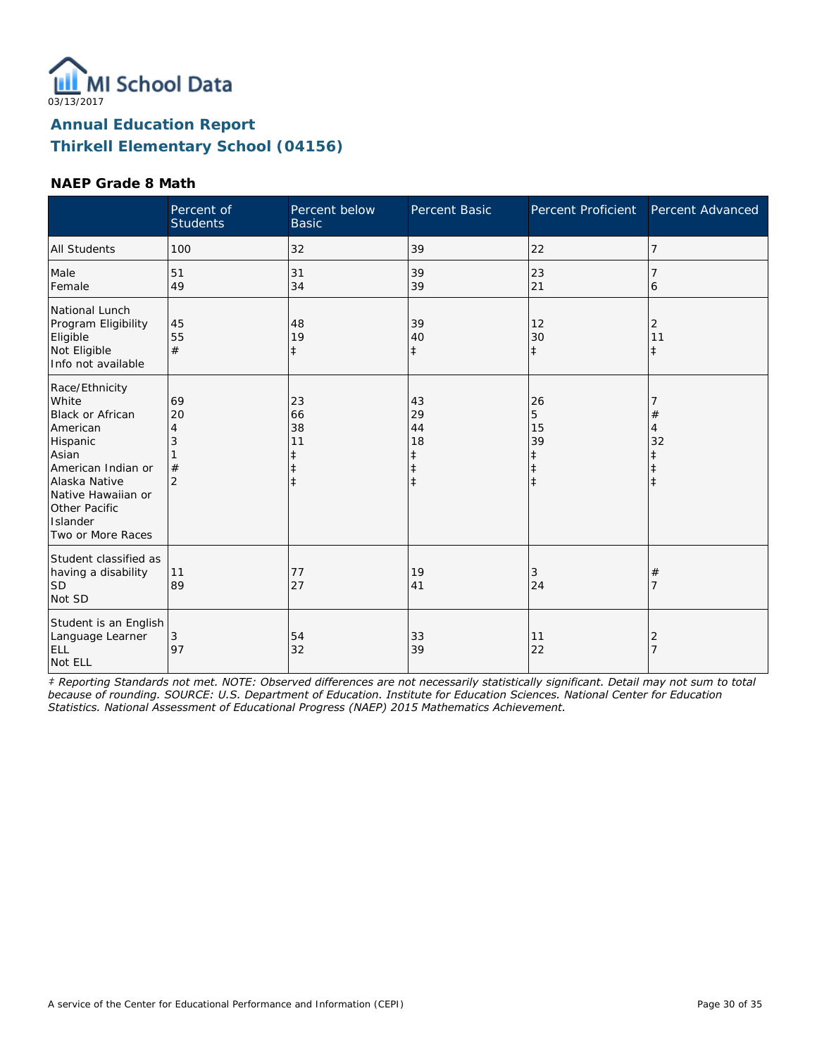

#### **NAEP Grade 8 Math**

|                                                                                                                                                                                             | Percent of<br><b>Students</b>             | Percent below<br><b>Basic</b>                         | Percent Basic                                                  | Percent Proficient                              | Percent Advanced                 |
|---------------------------------------------------------------------------------------------------------------------------------------------------------------------------------------------|-------------------------------------------|-------------------------------------------------------|----------------------------------------------------------------|-------------------------------------------------|----------------------------------|
| <b>All Students</b>                                                                                                                                                                         | 100                                       | 32                                                    | 39                                                             | 22                                              | 7                                |
| Male<br>Female                                                                                                                                                                              | 51<br>49                                  | 31<br>34                                              | 39<br>39                                                       | 23<br>21                                        | 6                                |
| National Lunch<br>Program Eligibility<br>Eligible<br>Not Eligible<br>Info not available                                                                                                     | 45<br>55<br>#                             | 48<br>19<br>$\ddagger$                                | 39<br>40<br>$\ddagger$                                         | 12<br>30<br>$\ddagger$                          | 2<br>11<br>$\ddagger$            |
| Race/Ethnicity<br>White<br>Black or African<br>American<br>Hispanic<br>Asian<br>American Indian or<br>Alaska Native<br>Native Hawaiian or<br>Other Pacific<br>Islander<br>Two or More Races | 69<br>20<br>4<br>3<br>#<br>$\overline{2}$ | 23<br>66<br>38<br>11<br>ŧ<br>$\ddagger$<br>$\ddagger$ | 43<br>29<br>44<br>18<br>$\ddagger$<br>$\ddagger$<br>$\ddagger$ | 26<br>5<br>15<br>39<br>$\ddagger$<br>$\ddagger$ | $^{\#}$<br>4<br>32<br>$\ddagger$ |
| Student classified as<br>having a disability<br><b>SD</b><br>Not SD                                                                                                                         | 11<br>89                                  | 77<br>27                                              | 19<br>41                                                       | 3<br>24                                         | #<br>7                           |
| Student is an English<br>Language Learner<br>ELL<br>Not ELL                                                                                                                                 | 3<br>97                                   | 54<br>32                                              | 33<br>39                                                       | 11<br>22                                        | 2<br>$\overline{7}$              |

*‡ Reporting Standards not met. NOTE: Observed differences are not necessarily statistically significant. Detail may not sum to total because of rounding. SOURCE: U.S. Department of Education. Institute for Education Sciences. National Center for Education Statistics. National Assessment of Educational Progress (NAEP) 2015 Mathematics Achievement.*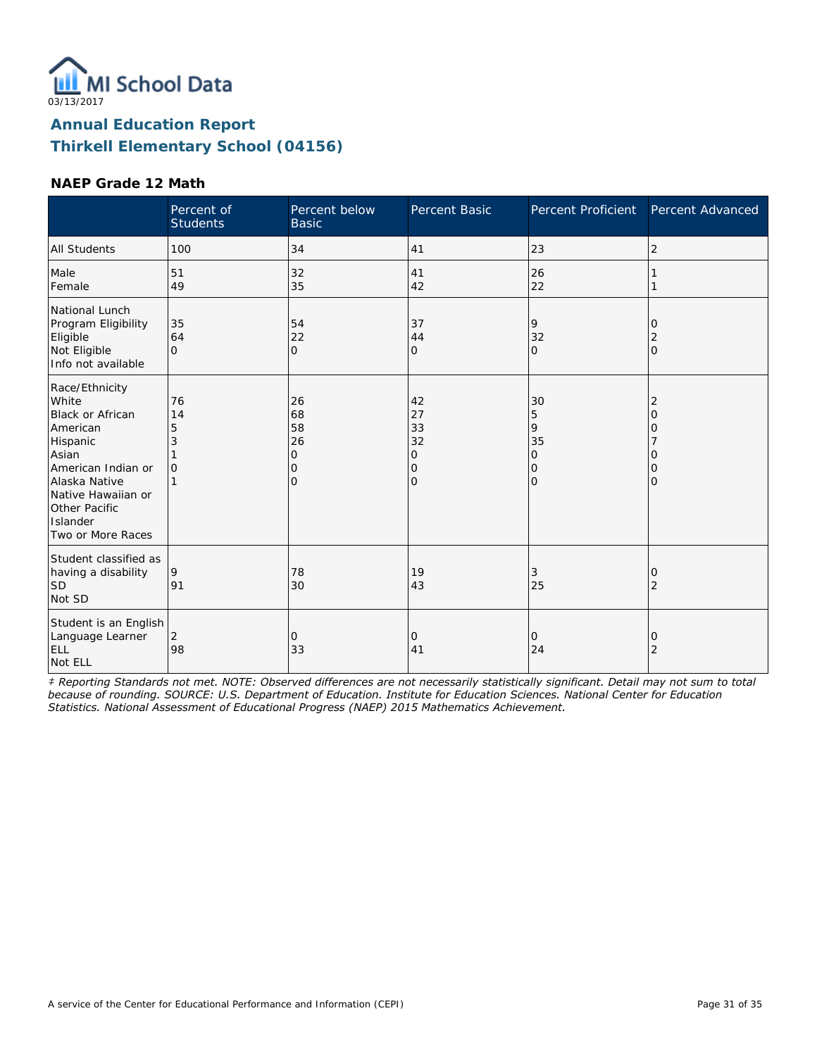

#### **NAEP Grade 12 Math**

|                                                                                                                                                                                                    | Percent of<br><b>Students</b>  | Percent below<br><b>Basic</b>                   | Percent Basic                                            | Percent Proficient                                          | Percent Advanced                                      |
|----------------------------------------------------------------------------------------------------------------------------------------------------------------------------------------------------|--------------------------------|-------------------------------------------------|----------------------------------------------------------|-------------------------------------------------------------|-------------------------------------------------------|
| <b>All Students</b>                                                                                                                                                                                | 100                            | 34                                              | 41                                                       | 23                                                          | $\overline{2}$                                        |
| Male<br>Female                                                                                                                                                                                     | 51<br>49                       | 32<br>35                                        | 41<br>42                                                 | 26<br>22                                                    |                                                       |
| National Lunch<br>Program Eligibility<br>Eligible<br>Not Eligible<br>Info not available                                                                                                            | 35<br>64<br>$\Omega$           | 54<br>22<br>$\overline{O}$                      | 37<br>44<br>$\overline{O}$                               | 9<br>32<br>$\mathbf{O}$                                     | 0<br>$\overline{2}$<br>$\mathbf{O}$                   |
| Race/Ethnicity<br>White<br><b>Black or African</b><br>American<br>Hispanic<br>Asian<br>American Indian or<br>Alaska Native<br>Native Hawaiian or<br>Other Pacific<br>Islander<br>Two or More Races | 76<br>14<br>5<br>3<br>$\Omega$ | 26<br>68<br>58<br>26<br>0<br>0<br>$\mathcal{O}$ | 42<br>27<br>33<br>32<br>0<br>$\mathbf 0$<br>$\mathbf{O}$ | 30<br>5<br>9<br>35<br>$\overline{O}$<br>0<br>$\overline{O}$ | $\overline{2}$<br>$\Omega$<br>0<br>Ω<br>0<br>$\Omega$ |
| Student classified as<br>having a disability<br><b>SD</b><br>Not SD                                                                                                                                | 9<br>91                        | 78<br>30                                        | 19<br>43                                                 | 3<br>25                                                     | 0<br>2                                                |
| Student is an English<br>Language Learner<br>ELL<br>Not ELL                                                                                                                                        | $\overline{2}$<br>98           | 0<br>33                                         | 0<br>41                                                  | $\mathbf{O}$<br>24                                          | 0<br>$\overline{2}$                                   |

*‡ Reporting Standards not met. NOTE: Observed differences are not necessarily statistically significant. Detail may not sum to total because of rounding. SOURCE: U.S. Department of Education. Institute for Education Sciences. National Center for Education Statistics. National Assessment of Educational Progress (NAEP) 2015 Mathematics Achievement.*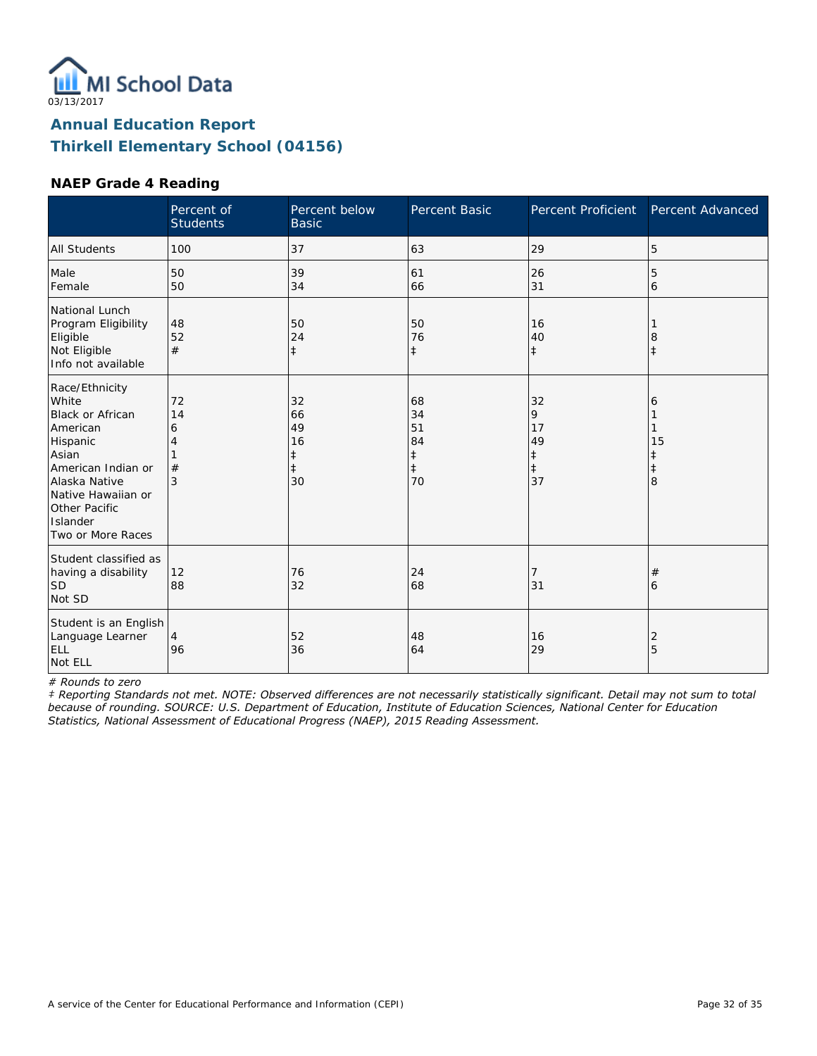

#### **NAEP Grade 4 Reading**

|                                                                                                                                                                                             | Percent of<br><b>Students</b> | Percent below<br><b>Basic</b>                 | Percent Basic                                          | Percent Proficient                           | Percent Advanced                |
|---------------------------------------------------------------------------------------------------------------------------------------------------------------------------------------------|-------------------------------|-----------------------------------------------|--------------------------------------------------------|----------------------------------------------|---------------------------------|
| <b>All Students</b>                                                                                                                                                                         | 100                           | 37                                            | 63                                                     | 29                                           | 5                               |
| Male<br>Female                                                                                                                                                                              | 50<br>50                      | 39<br>34                                      | 61<br>66                                               | 26<br>31                                     | 5<br>6                          |
| National Lunch<br>Program Eligibility<br>Eligible<br>Not Eligible<br>Info not available                                                                                                     | 48<br>52<br>#                 | 50<br>24<br>$\ddagger$                        | 50<br>76<br>$\ddagger$                                 | 16<br>40<br>$\ddagger$                       | 8<br>$\ddagger$                 |
| Race/Ethnicity<br>White<br>Black or African<br>American<br>Hispanic<br>Asian<br>American Indian or<br>Alaska Native<br>Native Hawaiian or<br>Other Pacific<br>Islander<br>Two or More Races | 72<br>14<br>6<br>#<br>3       | 32<br>66<br>49<br>16<br>ŧ<br>$\ddagger$<br>30 | 68<br>34<br>51<br>84<br>$\ddagger$<br>$\ddagger$<br>70 | 32<br>9<br>17<br>49<br>‡<br>$\ddagger$<br>37 | 6<br>15<br>ŧ<br>$\ddagger$<br>8 |
| Student classified as<br>having a disability<br><b>SD</b><br>Not SD                                                                                                                         | 12<br>88                      | 76<br>32                                      | 24<br>68                                               | 7<br>31                                      | #<br>6                          |
| Student is an English<br>Language Learner<br>ELL<br>Not ELL                                                                                                                                 | 4<br>96                       | 52<br>36                                      | 48<br>64                                               | 16<br>29                                     | 2<br>5                          |

*# Rounds to zero*

*‡ Reporting Standards not met. NOTE: Observed differences are not necessarily statistically significant. Detail may not sum to total because of rounding. SOURCE: U.S. Department of Education, Institute of Education Sciences, National Center for Education Statistics, National Assessment of Educational Progress (NAEP), 2015 Reading Assessment.*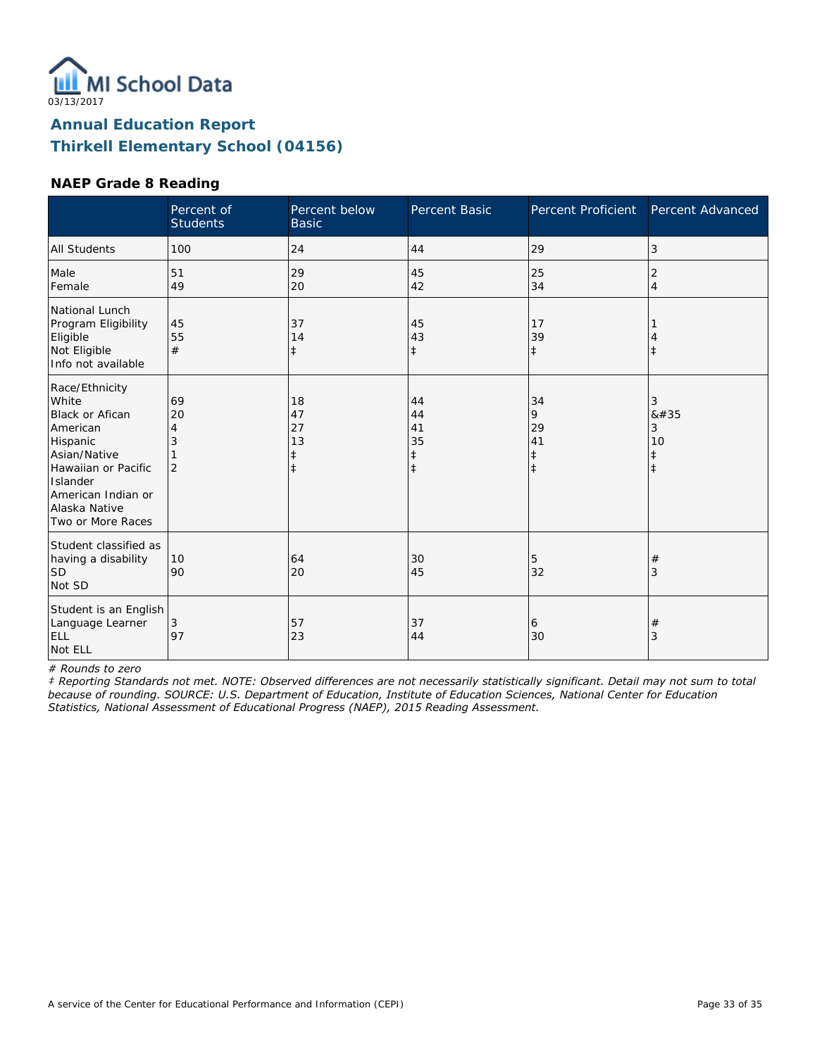

#### **NAEP Grade 8 Reading**

|                                                                                                                                                                                   | Percent of<br><b>Students</b>        | Percent below<br><b>Basic</b>           | Percent Basic                                    | <b>Percent Proficient</b>                       | Percent Advanced                              |
|-----------------------------------------------------------------------------------------------------------------------------------------------------------------------------------|--------------------------------------|-----------------------------------------|--------------------------------------------------|-------------------------------------------------|-----------------------------------------------|
| <b>All Students</b>                                                                                                                                                               | 100                                  | 24                                      | 44                                               | 29                                              | 3                                             |
| Male<br>Female                                                                                                                                                                    | 51<br>49                             | 29<br>20                                | 45<br>42                                         | 25<br>34                                        | 2<br>$\overline{4}$                           |
| National Lunch<br>Program Eligibility<br>Eligible<br>Not Eligible<br>Info not available                                                                                           | 45<br>55<br>#                        | 37<br>14<br>$\ddagger$                  | 45<br>43<br>$\ddagger$                           | 17<br>39<br>$\ddagger$                          | $^\ddag$                                      |
| Race/Ethnicity<br>White<br>Black or Afican<br>American<br>Hispanic<br>Asian/Native<br>Hawaiian or Pacific<br>Islander<br>American Indian or<br>Alaska Native<br>Two or More Races | 69<br>20<br>4<br>3<br>$\overline{2}$ | 18<br>47<br>27<br>13<br>‡<br>$\ddagger$ | 44<br>44<br>41<br>35<br>$\ddagger$<br>$\ddagger$ | 34<br>9<br>29<br>41<br>$\ddagger$<br>$\ddagger$ | 3<br>#<br>3<br>10<br>$\ddagger$<br>$\ddagger$ |
| Student classified as<br>having a disability<br><b>SD</b><br>Not SD                                                                                                               | 10<br>90                             | 64<br>20                                | 30<br>45                                         | 5<br>32                                         | $^{\#}$<br>3                                  |
| Student is an English<br>Language Learner<br>ELL<br>Not ELL                                                                                                                       | 3<br>97                              | 57<br>23                                | 37<br>44                                         | 6<br>30                                         | #<br>3                                        |

*# Rounds to zero*

*‡ Reporting Standards not met. NOTE: Observed differences are not necessarily statistically significant. Detail may not sum to total because of rounding. SOURCE: U.S. Department of Education, Institute of Education Sciences, National Center for Education Statistics, National Assessment of Educational Progress (NAEP), 2015 Reading Assessment.*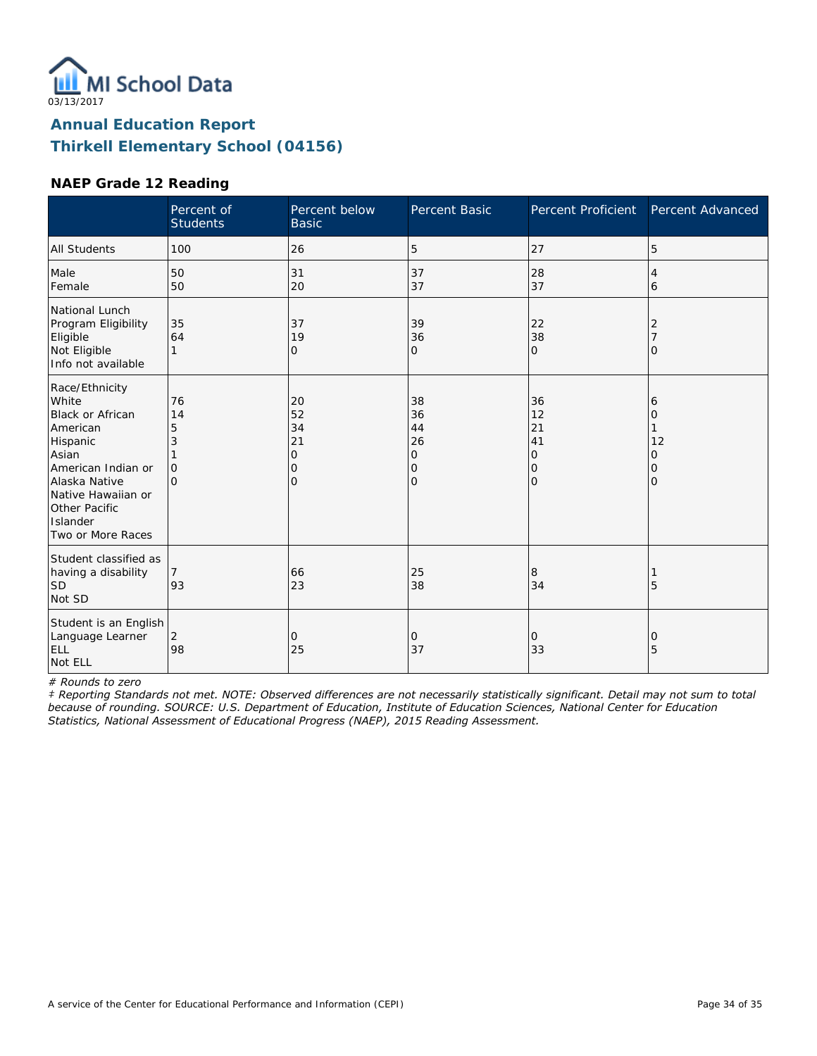

#### **NAEP Grade 12 Reading**

|                                                                                                                                                                                             | Percent of<br><b>Students</b>              | Percent below<br><b>Basic</b>              | Percent Basic                                    | Percent Proficient                               | Percent Advanced                   |
|---------------------------------------------------------------------------------------------------------------------------------------------------------------------------------------------|--------------------------------------------|--------------------------------------------|--------------------------------------------------|--------------------------------------------------|------------------------------------|
| <b>All Students</b>                                                                                                                                                                         | 100                                        | 26                                         | 5                                                | 27                                               | 5                                  |
| Male<br>Female                                                                                                                                                                              | 50<br>50                                   | 31<br>20                                   | 37<br>37                                         | 28<br>37                                         | 4<br>6                             |
| National Lunch<br>Program Eligibility<br>Eligible<br>Not Eligible<br>Info not available                                                                                                     | 35<br>64<br>1                              | 37<br>19<br>0                              | 39<br>36<br>0                                    | 22<br>38<br>$\mathbf{O}$                         | 2<br>Ω                             |
| Race/Ethnicity<br>White<br>Black or African<br>American<br>Hispanic<br>Asian<br>American Indian or<br>Alaska Native<br>Native Hawaiian or<br>Other Pacific<br>Islander<br>Two or More Races | 76<br>14<br>5<br>3<br>$\Omega$<br>$\Omega$ | 20<br>52<br>34<br>21<br>0<br>0<br>$\Omega$ | 38<br>36<br>44<br>26<br>0<br>0<br>$\overline{O}$ | 36<br>12<br>21<br>41<br>0<br>0<br>$\overline{O}$ | 6<br>0<br>12<br>0<br>0<br>$\Omega$ |
| Student classified as<br>having a disability<br><b>SD</b><br>Not SD                                                                                                                         | 93                                         | 66<br>23                                   | 25<br>38                                         | 8<br>34                                          | 5                                  |
| Student is an English<br>Language Learner<br>ELL<br>Not ELL                                                                                                                                 | $\overline{2}$<br>98                       | $\mathbf{O}$<br>25                         | 0<br>37                                          | $\mathbf{O}$<br>33                               | 0<br>5                             |

*# Rounds to zero*

*‡ Reporting Standards not met. NOTE: Observed differences are not necessarily statistically significant. Detail may not sum to total because of rounding. SOURCE: U.S. Department of Education, Institute of Education Sciences, National Center for Education Statistics, National Assessment of Educational Progress (NAEP), 2015 Reading Assessment.*